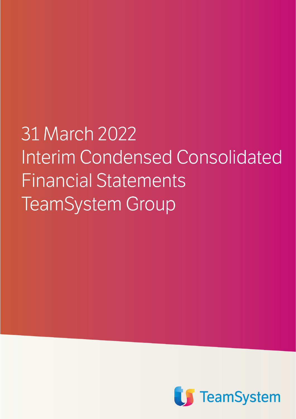**COPERTINAInterim Condensed Consolidated Financial Statements TeamSystem Group** 

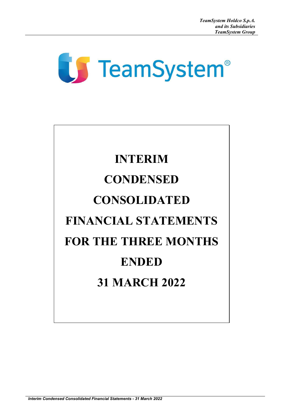# **TeamSystem®**

# **INTERIM CONDENSED CONSOLIDATED FINANCIAL STATEMENTS FOR THE THREE MONTHS ENDED 31 MARCH 2022**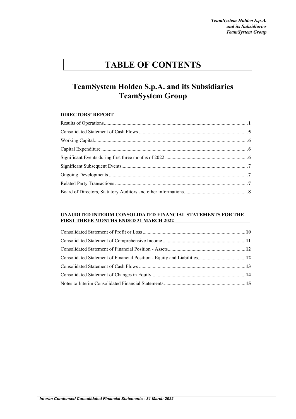### **TABLE OF CONTENTS**

### **TeamSystem Holdco S.p.A. and its Subsidiaries TeamSystem Group**

#### **DIRECTORS' REPORT**

#### **UNAUDITED INTERIM CONSOLIDATED FINANCIAL STATEMENTS FOR THE FIRST THREE MONTHS ENDED 31 MARCH 2022**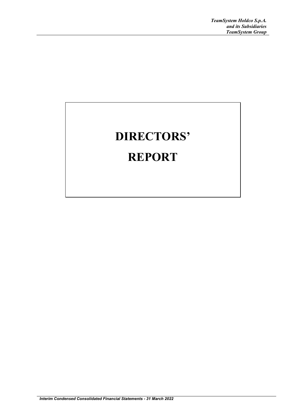# **DIRECTORS' REPORT**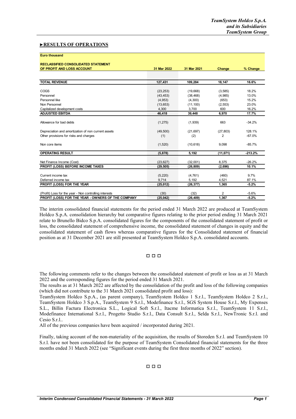#### **►RESULTS OF OPERATIONS**

#### **Euro thousand**

#### **RECLASSIFIED CONSOLIDATED STATEMENT**

| OF PROFIT AND LOSS ACCOUNT                             | 31 Mar 2022 | 31 Mar 2021 | Change         | % Change  |
|--------------------------------------------------------|-------------|-------------|----------------|-----------|
|                                                        |             |             |                |           |
| <b>TOTAL REVENUE</b>                                   | 127.431     | 109.284     | 18,147         | 16.6%     |
| COGS                                                   | (23, 253)   | (19,668)    | (3,585)        | 18.2%     |
| Personnel                                              | (43, 453)   | (38, 468)   | (4,985)        | 13.0%     |
| Personnel like                                         | (4,953)     | (4,300)     | (653)          | 15.2%     |
| Non Personnel                                          | (13, 653)   | (11, 100)   | (2, 553)       | 23.0%     |
| Capitalized development costs                          | 4.300       | 3,700       | 600            | 16.2%     |
| <b>ADJUSTED EBITDA</b>                                 | 46,418      | 39,448      | 6,970          | 17.7%     |
|                                                        |             |             |                |           |
| Allowance for bad debts                                | (1, 275)    | (1,939)     | 663            | $-34.2%$  |
| Depreciation and amortization of non current assets    | (49, 500)   | (21, 697)   | (27, 803)      | 128.1%    |
| Other provisions for risks and charges                 | (1)         | (2)         | $\overline{2}$ | $-67.0%$  |
| Non core items                                         | (1,520)     | (10, 618)   | 9,098          | $-85.7%$  |
| <b>OPERATING RESULT</b>                                | (5, 878)    | 5,192       | (11,071)       | $-213.2%$ |
| Net Finance Income (Cost)                              | (23, 627)   | (32,001)    | 8,375          | $-26.2%$  |
| PROFIT (LOSS) BEFORE INCOME TAXES                      | (29, 505)   | (26, 809)   | (2,696)        | 10.1%     |
| Current income tax                                     | (5, 220)    | (4, 761)    | (460)          | 9.7%      |
| Deferred income tax                                    | 9,714       | 5,192       | 4,521          | 87.1%     |
| <b>PROFIT (LOSS) FOR THE YEAR</b>                      | (25, 012)   | (26, 377)   | 1,365          | $-5.2%$   |
| (Profit) Loss for the year - Non controlling interests | (30)        | (32)        | $\overline{2}$ | $-5.6%$   |
| PROFIT (LOSS) FOR THE YEAR - OWNERS OF THE COMPANY     | (25, 042)   | (26, 409)   | 1.367          | $-5.2%$   |

The interim consolidated financial statements for the period ended 31 March 2022 are produced at TeamSystem Holdco S.p.A. consolidation hierarchy but comparative figures relating to the prior period ending 31 March 2021 relate to Brunello Bidco S.p.A. consolidated figures for the components of the consolidated statement of profit or loss, the consolidated statement of comprehensive income, the consolidated statement of changes in equity and the consolidated statement of cash flows whereas comparative figures for the Consolidated statement of financial position as at 31 December 2021 are still presented at TeamSystem Holdco S.p.A. consolidated accounts.

#### □ □ □

The following comments refer to the changes between the consolidated statement of profit or loss as at 31 March 2022 and the corresponding figures for the period ended 31 March 2021.

The results as at 31 March 2022 are affected by the consolidation of the profit and loss of the following companies (which did not contribute to the 31 March 2021 consolidated profit and loss):

TeamSystem Holdco S.p.A., (as parent company), TeamSystem Holdco 1 S.r.l., TeamSystem Holdco 2 S.r.l., TeamSystem Holdco 3 S.p.A., TeamSystem 9 S.r.l., Modefinance S.r.l., SGS System House S.r.l., My Expenses S.L., Billin Factura Electronica S.L., Logical Soft S.r.l., Itacme Informatica S.r.l., TeamSystem 11 S.r.l., Modefinance International S.r.l., Progetto Studio S.r.l., Data Consult S.r.l., Selda S.r.l., NewTronic S.r.l. and Cesio S.r.l..

All of the previous companies have been acquired / incorporated during 2021.

Finally, taking account of the non-materiality of the acquisition, the results of Storeden S.r.l. and TeamSystem 10 S.r.l. have not been consolidated for the purpose of TeamSystem Consolidated financial statements for the three months ended 31 March 2022 (see "Significant events during the first three months of 2022" section).

#### □ □ □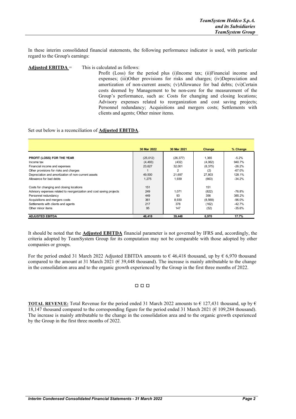In these interim consolidated financial statements, the following performance indicator is used, with particular regard to the Group's earnings:

**Adjusted EBITDA** = This is calculated as follows:

Profit (Loss) for the period plus (i)Income tax; (ii)Financial income and expenses; (iii)Other provisions for risks and charges; (iv)Depreciation and amortization of non-current assets; (v)Allowance for bad debts; (vi)Certain costs deemed by Management to be non-core for the measurement of the Group's performance, such as: Costs for changing and closing locations; Advisory expenses related to reorganization and cost saving projects; Personnel redundancy; Acquisitions and mergers costs; Settlements with clients and agents; Other minor items.

#### Set out below is a reconciliation of **Adjusted EBITDA**.

|                                                                      | 30 Mar 2022 | 30 Mar 2021 | Change   | % Change |
|----------------------------------------------------------------------|-------------|-------------|----------|----------|
|                                                                      |             |             |          |          |
| PROFIT (LOSS) FOR THE YEAR                                           | (25,012)    | (26, 377)   | 1.365    | $-5.2%$  |
| Income tax                                                           | (4, 493)    | (432)       | (4,062)  | 940.7%   |
| Financial income and expenses                                        | 23.627      | 32.001      | (8,375)  | $-26.2%$ |
| Other provisions for risks and charges                               |             | 2           | (2)      | $-67.0%$ |
| Depreciation and amortization of non-current assets                  | 49.500      | 21.697      | 27.803   | 128.1%   |
| Allowance for had debts                                              | 1,275       | 1.939       | (663)    | $-34.2%$ |
| Costs for changing and closing locations                             | 151         |             | 151      |          |
| Advisory expenses related to reorganization and cost saving projects | 249         | 1,071       | (822)    | -76.8%   |
| Personnel redundancy                                                 | 449         | 93          | 356      | 385.2%   |
| Acquisitions and mergers costs                                       | 361         | 8,930       | (8, 569) | $-96.0%$ |
| Settlements with clients and agents                                  | 217         | 378         | (162)    | $-42.7%$ |
| Other minor items                                                    | 95          | 147         | (52)     | $-35.6%$ |
| <b>ADJUSTED EBITDA</b>                                               | 46,418      | 39,448      | 6,970    | 17.7%    |

It should be noted that the **Adjusted EBITDA** financial parameter is not governed by IFRS and, accordingly, the criteria adopted by TeamSystem Group for its computation may not be comparable with those adopted by other companies or groups.

For the period ended 31 March 2022 Adjusted EBITDA amounts to  $\epsilon$  46,418 thousand, up by  $\epsilon$  6,970 thousand compared to the amount at 31 March 2021 ( $\epsilon$  39,448 thousand). The increase is mainly attributable to the change in the consolidation area and to the organic growth experienced by the Group in the first three months of 2022.

#### □ □ □

**TOTAL REVENUE:** Total Revenue for the period ended 31 March 2022 amounts to  $\epsilon$  127,431 thousand, up by  $\epsilon$ 18,147 thousand compared to the corresponding figure for the period ended 31 March 2021 (€ 109,284 thousand). The increase is mainly attributable to the change in the consolidation area and to the organic growth experienced by the Group in the first three months of 2022.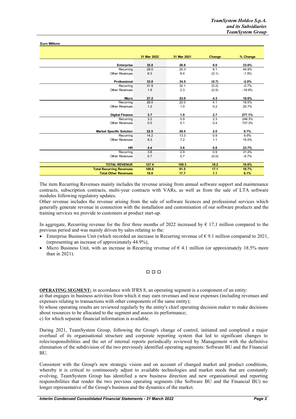**Euro Millions**

|                                 | 31 Mar 2022 | 31 Mar 2021 | Change | % Change |
|---------------------------------|-------------|-------------|--------|----------|
|                                 |             |             |        |          |
| Enterprise                      | 35.8        | 26.8        | 9.0    | 33.6%    |
| Recurring                       | 29.5        | 20.3        | 9.1    | 44.9%    |
| <b>Other Revenues</b>           | 6.3         | 6.4         | (0.1)  | $-1.9%$  |
|                                 |             |             |        |          |
| Professional                    | 33.8        | 34.5        | (0.7)  | $-2.0%$  |
| Recurring                       | 31.9        | 32.1        | (0.2)  | $-0.7%$  |
| <b>Other Revenues</b>           | 1.9         | 2.3         | (0.5)  | $-19.9%$ |
|                                 |             |             |        |          |
| <b>Micro</b>                    | 27.2        | 23.0        | 4.3    | 18.6%    |
| Recurring                       | 26.0        | 22.0        | 4.1    | 18.5%    |
| <b>Other Revenues</b>           | 1.2         | 1.0         | 0.2    | 20.7%    |
|                                 |             |             |        |          |
| <b>Digital Finance</b>          | 3.7         | 1.0         | 2.7    | 277.1%   |
| Recurring                       | 3.2         | 0.9         | 2.3    | 248.3%   |
| <b>Other Revenues</b>           | 0.5         | 0.1         | 0.4    | 737.3%   |
|                                 |             |             |        |          |
| <b>Market Specific Solution</b> | 22.5        | 20.5        | 2.0    | 9.7%     |
| Recurring                       | 14.2        | 13.3        | 0.9    | 6.9%     |
| <b>Other Revenues</b>           | 8.3         | 7.2         | 1.1    | 15.0%    |
|                                 |             |             |        |          |
| <b>HR</b>                       | 4.4         | 3.6         | 0.8    | 23.7%    |
| Recurring                       | 3.8         | 2.9         | 0.9    | 31.4%    |
| <b>Other Revenues</b>           | 0.7         | 0.7         | (0.0)  | $-6.7%$  |
|                                 |             |             |        |          |
| <b>TOTAL REVENUE</b>            | 127.4       | 109.3       | 18.2   | 16.6%    |
| <b>Total Recurring Revenues</b> | 108.6       | 91.5        | 17.1   | 18.7%    |
| <b>Total Other Revenues</b>     | 18.8        | 17.7        | 1.1    | 6.1%     |

The item Recurring Revenues mainly includes the revenue arising from annual software support and maintenance contracts, subscription contracts, multi-year contracts with VARs, as well as from the sale of LTA software modules following regulatory updates.

Other revenue includes the revenue arising from the sale of software licences and professional services which generally generate revenue in connection with the installation and customisation of our software products and the training services we provide to customers at product start-up.

In aggregate, Recurring revenue for the first three months of 2022 increased by  $\epsilon$  17,1 million compared to the previous period and was mainly driven by sales relating to the:

- Enterprise Business Unit (which recorded an increase in Recurring revenue of  $\epsilon$  9.1 million compared to 2021, (representing an increase of approximately 44.9%),
- Micro Business Unit, with an increase in Recurring revenue of  $\epsilon$  4.1 million (or approximately 18.5% more than in 2021).

#### □ □ □

**OPERATING SEGMENT:** in accordance with IFRS 8, an operating segment is a component of an entity:

a) that engages in business activities from which it may earn revenues and incur expenses (including revenues and expenses relating to transactions with other components of the same entity);

b) whose operating results are reviewed regularly by the entity's chief operating decision maker to make decisions about resources to be allocated to the segment and assess its performance;

c) for which separate financial information is available.

During 2021, TeamSystem Group, following the Group's change of control, initiated and completed a major overhaul of its organisational structure and corporate reporting system that led to significant changes to roles/responsibilities and the set of internal reports periodically reviewed by Management with the definitive elimination of the subdivision of the two previously identified operating segments: Software BU and the Financial BU.

Consistent with the Group's new strategic vision and on account of changed market and product conditions, whereby it is critical to continuously adjust to available technologies and market needs that are constantly evolving, TeamSystem Group has identified a new business direction and new organisational and reporting responsibilities that render the two previous operating segments (the Software BU and the Financial BU) no longer representative of the Group's business and the dynamics of the market.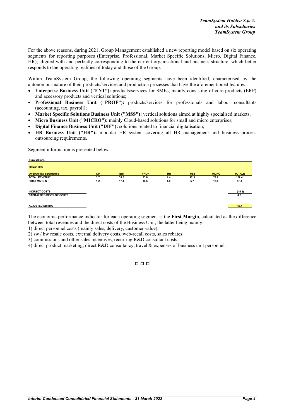For the above reasons, during 2021, Group Management established a new reporting model based on six operating segments for reporting purposes (Enterprise, Professional, Market Specific Solutions, Micro, Digital Finance, HR), aligned with and perfectly corresponding to the current organisational and business structure, which better responds to the operating realities of today and those of the Group.

Within TeamSystem Group, the following operating segments have been identified, characterised by the autonomous nature of their products/services and production processes that have the aforementioned features:

- **Enterprise Business Unit ("ENT"):** products/services for SMEs, mainly consisting of core products (ERP) and accessory products and vertical solutions;
- **Professional Business Unit ("PROF"):** products/services for professionals and labour consultants (accounting, tax, payroll);
- **Market Specific Solutions Business Unit ("MSS"):** vertical solutions aimed at highly specialised markets;
- **Micro Business Unit ("MICRO"):** mainly Cloud-based solutions for small and micro enterprises;
- **Digital Finance Business Unit ("DIF"):** solutions related to financial digitalisation;
- **HR Business Unit ("HR"):** modular HR system covering all HR management and business process outsourcing requirements.

Segment information is presented below:

| <b>Euro Millions</b>             |     |            |             |           |            |              |               |
|----------------------------------|-----|------------|-------------|-----------|------------|--------------|---------------|
| 30 Mar 2022                      |     |            |             |           |            |              |               |
| <b>OPERATING SEGMENTS</b>        | DIF | <b>ENT</b> | <b>PROF</b> | <b>HR</b> | <b>MSS</b> | <b>MICRO</b> | <b>TOTALE</b> |
| <b>TOTAL REVENUE</b>             | 3.7 | 35.8       | 33.8        | 4.4       | 22.5       | 27.2         | 127.4         |
| <b>FIRST MARGIN</b>              | 1.2 | 17.4       | 16.5        | 1.0       | 5.7        | 15.5         | 57.3          |
|                                  |     |            |             |           |            |              |               |
| <b>INDIRECT COSTS</b>            |     |            |             |           |            |              | (15.2)        |
| <b>CAPITALISED DEVELOP COSTS</b> |     |            |             |           |            |              | 4.3           |
|                                  |     |            |             |           |            |              |               |
| <b>ADJUSTED EBITDA</b>           |     |            |             |           |            |              | 46.4          |

The economic performance indicator for each operating segment is the **First Margin**, calculated as the difference between total revenues and the direct costs of the Business Unit, the latter being mainly:

1) direct personnel costs (mainly sales, delivery, customer value);

2) sw / hw resale costs, external delivery costs, web-recall costs, sales rebates;

3) commissions and other sales incentives, recurring R&D consultant costs;

4) direct product marketing, direct R&D consultancy, travel & expenses of business unit personnel.

□ □ □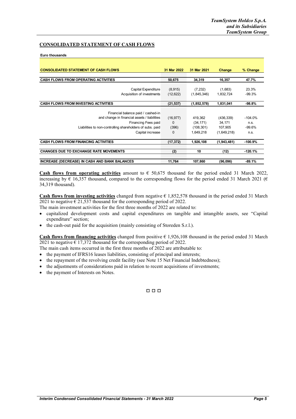#### **CONSOLIDATED STATEMENT OF CASH FLOWS**

#### **Euro thousands**

| <b>CONSOLIDATED STATEMENT OF CASH FLOWS</b>               | 31 Mar 2022           | 31 Mar 2021             | Change               | % Change  |
|-----------------------------------------------------------|-----------------------|-------------------------|----------------------|-----------|
| <b>CASH FLOWS FROM OPERATING ACTIVITIES</b>               | 50,675                | 34,319                  | 16,357               | 47.7%     |
|                                                           |                       |                         |                      | 23.3%     |
| Capital Expenditure<br>Acquisition of investments         | (8, 915)<br>(12, 622) | (7, 232)<br>(1,845,346) | (1,683)<br>1,832,724 | $-99.3%$  |
| <b>CASH FLOWS FROM INVESTING ACTIVITIES</b>               | (21, 537)             | (1,852,578)             | 1,831,041            | $-98.8%$  |
| Financial balance paid / cashed-in                        |                       |                         |                      |           |
| and change in financial assets / liabilities              | (16, 977)             | 419,362                 | (436, 339)           | $-104.0%$ |
| Financing Fees paid                                       | 0                     | (34, 171)               | 34,171               | n.s.      |
| Liabilities to non-controlling shareholders of subs. paid | (396)                 | (108, 301)              | 107.905              | $-99.6%$  |
| Capital increase                                          | 0                     | 1,649,218               | (1,649,218)          | n.s.      |
| <b>CASH FLOWS FROM FINANCING ACTIVITIES</b>               | (17, 372)             | 1,926,108               | (1,943,481)          | $-100.9%$ |
| <b>CHANGES DUE TO EXCHANGE RATE MOVEMENTS</b>             | (2)                   | 10                      | (12)                 | $-120.1%$ |
| INCREASE (DECREASE) IN CASH AND BANK BALANCES             | 11.764                | 107.860                 | (96,096)             | $-89.1%$  |

**Cash flows from operating activities** amount to  $\epsilon$  50,675 thousand for the period ended 31 March 2022, increasing by  $\epsilon$  16,357 thousand, compared to the corresponding flows for the period ended 31 March 2021 ( $\epsilon$ 34,319 thousand).

**Cash flows from investing activities** changed from negative € 1,852,578 thousand in the period ended 31 March 2021 to negative  $\epsilon$  21,537 thousand for the corresponding period of 2022.

- The main investment activities for the first three months of 2022 are related to:
- capitalized development costs and capital expenditures on tangible and intangible assets, see "Capital expenditure" section;
- the cash-out paid for the acquisition (mainly consisting of Storeden S.r.l.).

**Cash flows from financing activities** changed from positive € 1,926,108 thousand in the period ended 31 March 2021 to negative  $\epsilon$  17,372 thousand for the corresponding period of 2022.

- The main cash items occurred in the first three months of 2022 are attributable to:
- the payment of IFRS16 leases liabilities, consisting of principal and interests;
- the repayment of the revolving credit facility (see Note 15 Net Financial Indebtedness);
- the adjustments of considerations paid in relation to recent acquisitions of investments;
- the payment of Interests on Notes.

#### □ □ □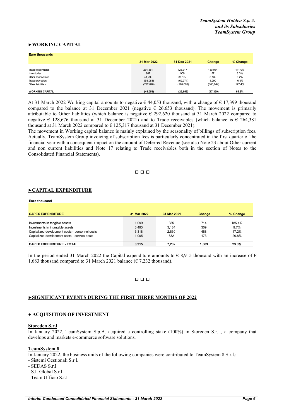#### **►WORKING CAPITAL**

| <b>Euro thousands</b>  |             |             |            |          |
|------------------------|-------------|-------------|------------|----------|
|                        | 31 Mar 2022 | 31 Dec 2021 | Change     | % Change |
| Trade receivables      | 264.381     | 125.317     | 139,064    | 111.0%   |
| Inventories            | 967         | 909         | 57         | 6.3%     |
| Other receivables      | 41.299      | 38,167      | 3,132      | 8.2%     |
| Trade payables         | (58,081)    | (62, 371)   | 4.290      | $-6.9%$  |
| Other liabilities      | (292, 620)  | (128, 676)  | (163, 944) | 127.4%   |
| <b>WORKING CAPITAL</b> | (44, 053)   | (26, 653)   | (17, 399)  | 65.3%    |

At 31 March 2022 Working capital amounts to negative  $\epsilon$  44,053 thousand, with a change of  $\epsilon$  17,399 thousand compared to the balance at 31 December 2021 (negative  $\epsilon$  26,653 thousand). The movement is primarily attributable to Other liabilities (which balance is negative € 292,620 thousand at 31 March 2022 compared to negative € 128,676 thousand at 31 December 2021) and to Trade receivables (which balance is € 264,381 thousand at 31 March 2022 compared to  $\epsilon$  125,317 thousand at 31 December 2021).

The movement in Working capital balance is mainly explained by the seasonality of billings of subscription fees. Actually, TeamSystem Group invoicing of subscription fees is particularly concentrated in the first quarter of the financial year with a consequent impact on the amount of Deferred Revenue (see also Note 23 about Other current and non current liabilities and Note 17 relating to Trade receivables both in the section of Notes to the Consolidated Financial Statements).

#### □ □ □

#### **►CAPITAL EXPENDITURE**

| Euro thousand                                   |             |             |        |          |
|-------------------------------------------------|-------------|-------------|--------|----------|
| <b>CAPEX EXPENDITURE</b>                        | 31 Mar 2022 | 31 Mar 2021 | Change | % Change |
| Investments in tangible assets                  | 1.099       | 385         | 714    | 185.4%   |
| Investments in intangible assets                | 3.493       | 3.184       | 309    | 9.7%     |
| Capitalized development costs - personnel costs | 3.318       | 2.830       | 488    | 17.2%    |
| Capitalized development costs - service costs   | 1.005       | 832         | 173    | 20.8%    |
| <b>CAPEX EXPENDITURE - TOTAL</b>                | 8.915       | 7.232       | 1,683  | 23.3%    |

In the period ended 31 March 2022 the Capital expenditure amounts to  $\epsilon$  8,915 thousand with an increase of  $\epsilon$ 1,683 thousand compared to 31 March 2021 balance ( $\epsilon$  7,232 thousand).

#### □ □ □

#### **►SIGNIFICANT EVENTS DURING THE FIRST THREE MONTHS OF 2022**

#### **● ACQUISITION OF INVESTMENT**

#### **Storeden S.r.l**

In January 2022, TeamSystem S.p.A. acquired a controlling stake (100%) in Storeden S.r.l., a company that develops and markets e-commerce software solutions.

#### **TeamSystem 8**

In January 2022, the business units of the following companies were contributed to TeamSystem 8 S.r.l.:

- Sistemi Gestionali S.r.l.
- SEDAS S.r.l.
- S.I. Global S.r.l.

- Team Ufficio S.r.l.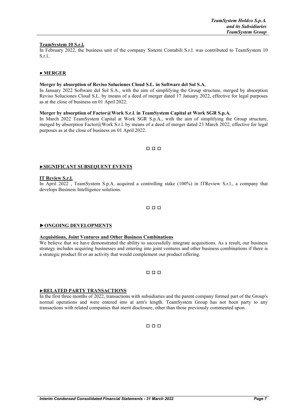#### **TeamSystem 10 S.r.l.**

In February 2022, the business unit of the company Sistemi Contabili S.r.l. was contributed to TeamSystem 10 S.r.l..

#### **● MERGER**

#### **Merger by absorption of Reviso Soluciones Cloud S.L. in Software del Sol S.A.**

In January 2022 Software del Sol S.A., with the aim of simplifying the Group structure, merged by absorption Reviso Soluciones Cloud S.L. by means of a deed of merger dated 17 January 2022, effective for legal purposes as at the close of business on 01 April 2022.

#### **Merger by absorption of Factor@Work S.r.l. in TeamSystem Capital at Work SGR S.p.A.**

In March 2022 TeamSystem Capital at Work SGR S.p.A., with the aim of simplifying the Group structure, merged by absorption Factor@Work S.r.l. by means of a deed of merger dated 23 March 2022, effective for legal purposes as at the close of business on 01 April 2022.

#### □ □ □

#### **►SIGNIFICANT SUBSEQUENT EVENTS**

#### **IT Review S.r.l.**

In April 2022 , TeamSystem S.p.A. acquired a controlling stake (100%) in ITReview S.r.l., a company that develops Business Intelligence solutions.

#### □ □ □

#### **►ONGOING DEVELOPMENTS**

#### **Acquisitions, Joint Ventures and Other Business Combinations**

We believe that we have demonstrated the ability to successfully integrate acquisitions. As a result, our business strategy includes acquiring businesses and entering into joint ventures and other business combinations if there is a strategic product fit or an activity that would complement our product offering.

#### □ □ □

#### **►RELATED PARTY TRANSACTIONS**

In the first three months of 2022, transactions with subsidiaries and the parent company formed part of the Group's normal operations and were entered into at arm's length. TeamSystem Group has not been party to any transactions with related companies that merit disclosure, other than those previously commented upon.

#### □ □ □

#### *Interim Condensed Consolidated Financial Statements - 31 March 2022 Page 7*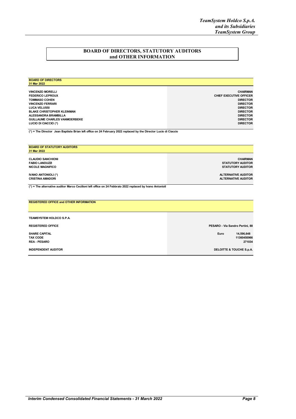#### **BOARD OF DIRECTORS, STATUTORY AUDITORS and OTHER INFORMATION**

| <b>BOARD OF DIRECTORS</b><br>31 Mar 2022                                                                         |                         |
|------------------------------------------------------------------------------------------------------------------|-------------------------|
| <b>VINCENZO MORELLI</b>                                                                                          | <b>CHAIRMAN</b>         |
| <b>FEDERICO LEPROUX</b>                                                                                          | CHIEF EXECUTIVE OFFICER |
| <b>TOMMASO COHEN</b>                                                                                             | <b>DIRECTOR</b>         |
| <b>VINCENZO FERRARI</b>                                                                                          | <b>DIRECTOR</b>         |
| <b>LUCA VELUSSI</b>                                                                                              | <b>DIRECTOR</b>         |
| <b>BLAKE CHRISTOPHER KLEINMAN</b>                                                                                | <b>DIRECTOR</b>         |
| <b>ALESSANDRA BRAMBILLA</b>                                                                                      | <b>DIRECTOR</b>         |
| <b>GUILLAUME CHARLES VANMOERBEKE</b>                                                                             | <b>DIRECTOR</b>         |
| LUCIO DI CIACCIO (*)                                                                                             | <b>DIRECTOR</b>         |
| (*) = The Director Jean Baptiste Brian left office on 24 February 2022 replaced by the Director Lucio di Ciaccio |                         |

| <b>BOARD OF STATUTORY AUDITORS</b><br>31 Mar 2022                                                         |                            |
|-----------------------------------------------------------------------------------------------------------|----------------------------|
| <b>CLAUDIO SANCHIONI</b>                                                                                  | <b>CHAIRMAN</b>            |
| <b>FABIO LANDUZZI</b>                                                                                     | <b>STATUTORY AUDITOR</b>   |
| <b>NICOLE MAGNIFICO</b>                                                                                   | <b>STATUTORY AUDITOR</b>   |
| IVANO ANTONIOLI (*)                                                                                       | <b>ALTERNATIVE AUDITOR</b> |
| <b>CRISTINA AMADORI</b>                                                                                   | <b>ALTERNATIVE AUDITOR</b> |
| (*) = The alternative auditor Marco Cecilioni left office on 24 Febbraio 2022 replaced by Ivano Antonioli |                            |
|                                                                                                           |                            |
| <b>REGISTERED OFFICE and OTHER INFORMATION</b>                                                            |                            |

| TEAMSYSTEM HOLDCO S.P.A.                                       |                                             |
|----------------------------------------------------------------|---------------------------------------------|
| <b>REGISTERED OFFICE</b>                                       | PESARO - Via Sandro Pertini, 88             |
| <b>SHARE CAPITAL</b><br><b>TAX CODE</b><br><b>REA - PESARO</b> | 14,596,648<br>Euro<br>11360450966<br>271034 |
| <b>INDEPENDENT AUDITOR</b>                                     | DELOITTE & TOUCHE S.p.A.                    |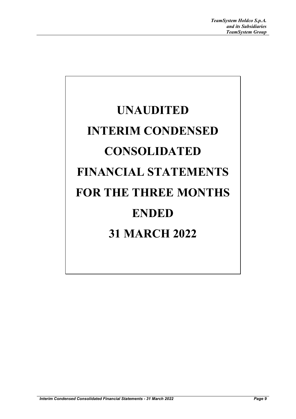# **UNAUDITED INTERIM CONDENSED CONSOLIDATED FINANCIAL STATEMENTS FOR THE THREE MONTHS ENDED 31 MARCH 2022**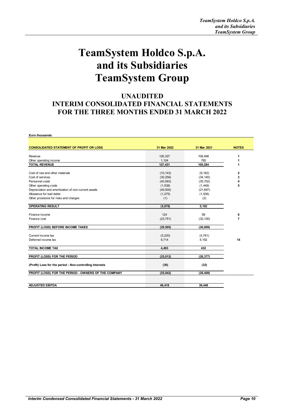## **TeamSystem Holdco S.p.A. and its Subsidiaries TeamSystem Group**

#### **UNAUDITED INTERIM CONSOLIDATED FINANCIAL STATEMENTS FOR THE THREE MONTHS ENDED 31 MARCH 2022**

| <b>CONSOLIDATED STATEMENT OF PROFIT OR LOSS</b>          | 31 Mar 2022          | 31 Mar 2021          | <b>NOTES</b>   |
|----------------------------------------------------------|----------------------|----------------------|----------------|
|                                                          |                      |                      |                |
| Revenue                                                  | 126,327              | 108,498              | 1              |
| Other operating income                                   | 1,104                | 785                  | 1              |
| <b>TOTAL REVENUE</b>                                     | 127,431              | 109,284              | 1              |
| Cost of raw and other materials                          | (10, 143)            | (9, 162)             | $\mathbf{2}$   |
| Cost of services                                         | (30, 258)            | (34, 140)            | 3              |
| Personnel costs                                          | (40, 593)            | (35, 702)            | 4              |
| Other operating costs                                    | (1,538)              | (1,449)              | 5              |
| Depreciation and amortization of non-current assets      |                      |                      |                |
| Allowance for bad debts                                  | (49,500)<br>(1, 275) | (21, 697)<br>(1,939) |                |
|                                                          |                      |                      |                |
| Other provisions for risks and charges                   | (1)                  | (2)                  |                |
| <b>OPERATING RESULT</b>                                  | (5,878)              | 5,192                |                |
| Finance income                                           | 124                  | 99                   | 6              |
| Finance cost                                             | (23, 751)            | (32, 100)            | $\overline{7}$ |
| PROFIT (LOSS) BEFORE INCOME TAXES                        | (29, 505)            | (26, 809)            |                |
| Current income tax                                       | (5, 220)             | (4, 761)             |                |
| Deferred income tax                                      | 9,714                | 5,192                | 14             |
| <b>TOTAL INCOME TAX</b>                                  | 4,493                | 432                  |                |
|                                                          |                      |                      |                |
| PROFIT (LOSS) FOR THE PERIOD                             | (25, 012)            | (26, 377)            |                |
| (Profit) Loss for the period - Non-controlling interests | (30)                 | (32)                 |                |
| PROFIT (LOSS) FOR THE PERIOD - OWNERS OF THE COMPANY     | (25, 042)            | (26, 409)            |                |
|                                                          |                      |                      |                |
| <b>ADJUSTED EBITDA</b>                                   | 46,418               | 39,448               |                |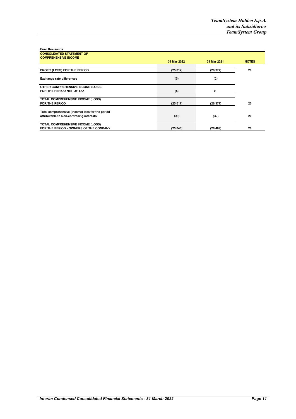| <b>Euro thousands</b><br><b>CONSOLIDATED STATEMENT OF</b> |             |             |              |
|-----------------------------------------------------------|-------------|-------------|--------------|
| <b>COMPREHENSIVE INCOME</b>                               |             |             |              |
|                                                           | 31 Mar 2022 | 31 Mar 2021 | <b>NOTES</b> |
|                                                           |             |             |              |
| PROFIT (LOSS) FOR THE PERIOD                              | (25, 012)   | (26, 377)   | 20           |
|                                                           |             |             |              |
| <b>Exchange rate differences</b>                          | (5)         | (2)         |              |
| OTHER COMPREHENSIVE INCOME (LOSS)                         |             |             |              |
| FOR THE PERIOD NET OF TAX                                 | (5)         | 0           |              |
|                                                           |             |             |              |
| TOTAL COMPREHENSIVE INCOME (LOSS)                         |             |             |              |
| FOR THE PERIOD                                            | (25,017)    | (26, 377)   | 20           |
|                                                           |             |             |              |
| Total comprehensive (income) loss for the period          |             |             |              |
| attributable to Non-controlling interests                 | (30)        | (32)        | 20           |
| <b>TOTAL COMPREHENSIVE INCOME (LOSS)</b>                  |             |             |              |
| FOR THE PERIOD - OWNERS OF THE COMPANY                    | (25,046)    | (26, 409)   | 20           |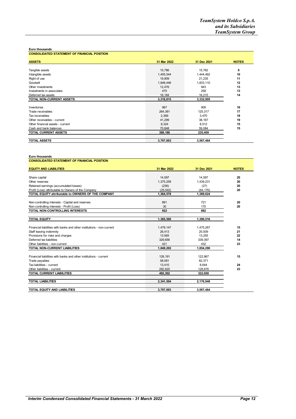| <b>CONSOLIDATED STATEMENT OF FINANCIAL POSITION</b> |             |             |              |
|-----------------------------------------------------|-------------|-------------|--------------|
| <b>ASSETS</b>                                       | 31 Mar 2022 | 31 Dec 2021 | <b>NOTES</b> |
|                                                     |             |             |              |
| Tangible assets                                     | 15,786      | 15,782      | 9            |
| Intangible assets                                   | 1,405,544   | 1,444,462   | 10           |
| Right of use                                        | 19,909      | 21,235      | 11           |
| Goodwill                                            | 1,848,446   | 1,833,110   | 12           |
| Other Investments                                   | 12,476      | 943         | 13           |
| Investments in associates                           | 470         | 258         | 13           |
| Deferred tax assets                                 | 16,184      | 16,215      | 14           |
| TOTAL NON-CURRENT ASSETS                            | 3,318,815   | 3,332,005   |              |
|                                                     |             |             |              |
| Inventories                                         | 967         | 909         | 16           |
| Trade receivables                                   | 264,381     | 125,317     | 17           |
| Tax receivables                                     | 2,369       | 3,470       | 18           |
| Other receivables - current                         | 41,299      | 38,167      | 19           |
| Other financial assets - current                    | 8,324       | 8,512       | 15           |
| Cash and bank balances                              | 70,848      | 59,084      | 15           |
| TOTAL CURRENT ASSETS                                | 388,188     | 235,459     |              |
| <b>TOTAL ASSETS</b>                                 | 3,707,003   | 3,567,464   |              |

| Euro thousands                                                        |             |             |              |
|-----------------------------------------------------------------------|-------------|-------------|--------------|
| <b>CONSOLIDATED STATEMENT OF FINANCIAL POSITION</b>                   |             |             |              |
| <b>EQUITY AND LIABILITIES</b>                                         | 31 Mar 2022 | 31 Dec 2021 | <b>NOTES</b> |
|                                                                       |             |             |              |
| Share capital                                                         | 14,597      | 14,597      | 20           |
| Other reserves                                                        | 1,375,259   | 1,439,231   | 20           |
| Retained earnings (accumulated losses)                                | (236)       | (27)        | 20           |
| Profit (Loss) attributable to Owners of the Company                   | (25.042)    | (64, 176)   | 20           |
| TOTAL EQUITY attributable to OWNERS OF THE COMPANY                    | 1,364,578   | 1,389,624   |              |
|                                                                       |             |             |              |
| Non-controlling interests - Capital and reserves                      | 891         | 721         | 20           |
| Non-controlling interests - Profit (Loss)                             | 30          | 170         | 20           |
| TOTAL NON-CONTROLLING INTERESTS                                       | 922         | 892         |              |
| <b>TOTAL EQUITY</b>                                                   | 1,365,500   | 1,390,516   |              |
|                                                                       |             |             |              |
| Financial liabilities with banks and other institutions - non-current | 1,479,147   | 1,475,267   | 15           |
| Staff leaving indemnity                                               | 26,413      | 25.939      | 21           |
| Provisions for risks and charges                                      | 13.565      | 13.255      | 22           |
| Deferred tax liabilities                                              | 329.656     | 339.397     | 14           |
| Other liabilities - non-current                                       | 421         | 432         | 23           |
| TOTAL NON-CURRENT LIABILITIES                                         | 1,849,202   | 1,854,290   |              |
| Financial liabilities with banks and other institutions - current     | 128,191     | 122,967     | 15           |
| Trade payables                                                        | 58,081      | 62.371      |              |
| Tax liabilities - current                                             | 13,410      | 8.644       | 24           |
| Other liabilities - current                                           | 292.620     | 128.676     | 23           |
| <b>TOTAL CURRENT LIABILITIES</b>                                      | 492.302     | 322.658     |              |
|                                                                       |             |             |              |
| <b>TOTAL LIABILITIES</b>                                              | 2,341,504   | 2,176,948   |              |
| TOTAL EQUITY AND LIABILITIES                                          | 3.707.003   | 3.567.464   |              |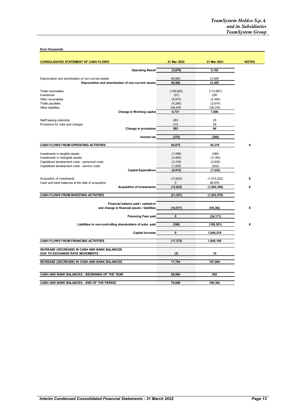| <b>CONSOLIDATED STATEMENT OF CASH FLOWS</b>                                                                | 31 Mar 2022      | 31 Mar 2021      | <b>NOTES</b> |
|------------------------------------------------------------------------------------------------------------|------------------|------------------|--------------|
| <b>Operating Result</b>                                                                                    | (5, 878)         | 5,192            |              |
|                                                                                                            |                  |                  |              |
| Depreciation and amortization of non-current assets<br>Depreciation and amortisation of non-current assets | 49,500<br>49,500 | 21,697<br>21,697 |              |
|                                                                                                            |                  |                  |              |
| Trade receivables                                                                                          | (139, 925)       | (113, 667)       |              |
| Inventories                                                                                                | (57)             | 226              |              |
| Other receivables                                                                                          | (8,974)          | (2, 355)         |              |
| Trade payables                                                                                             | (4,290)          | (2,674)          |              |
| Other liabilities                                                                                          | 159,978          | 126,076          |              |
| Change in Working capital                                                                                  | 6,731            | 7,606            |              |
| Staff leaving indemnity                                                                                    | 283              | 25               |              |
| Provisions for risks and charges                                                                           | 310              | 59               |              |
| Change in provisions                                                                                       | 593              | 84               |              |
|                                                                                                            |                  |                  |              |
| Income tax                                                                                                 | (270)            | (260)            |              |
| CASH FLOWS FROM OPERATING ACTIVITIES                                                                       | 50,675           | 34,319           | 8            |
|                                                                                                            |                  |                  |              |
| Investments in tangible assets                                                                             | (1,099)          | (385)            |              |
| Investments in intangible assets                                                                           | (3, 493)         | (3, 184)         |              |
| Capitalized development costs - personnel costs                                                            | (3,318)          | (2,830)          |              |
| Capitalized development costs - service costs                                                              | (1,005)          | (832)            |              |
| <b>Capital Expenditure</b>                                                                                 | (8,915)          | (7, 232)         |              |
| Acquisition of investments                                                                                 | (12, 622)        | (1, 912, 222)    | 8            |
| Cash and bank balances at the date of acquisition                                                          | 0                | 66,876           |              |
| <b>Acquisition of investments</b>                                                                          | (12, 622)        | (1, 845, 346)    | 8            |
|                                                                                                            |                  |                  |              |
| <b>CASH FLOWS FROM INVESTING ACTIVITIES</b>                                                                | (21, 537)        | (1,852,578)      |              |
| Financial balance paid / cashed-in                                                                         |                  |                  |              |
| and change in financial assets / liabilities                                                               | (16, 977)        | 419,362          | 8            |
|                                                                                                            |                  |                  |              |
| <b>Financing Fees paid</b>                                                                                 | 0                | (34, 171)        |              |
| Liabilities to non-controlling shareholders of subs. paid                                                  | (396)            | (108, 301)       | 8            |
|                                                                                                            |                  |                  |              |
| Capital increase                                                                                           | 0                | 1,649,218        |              |
| <b>CASH FLOWS FROM FINANCING ACTIVITIES</b>                                                                | (17, 372)        | 1,926,108        |              |
|                                                                                                            |                  |                  |              |
| INCREASE (DECREASE) IN CASH AND BANK BALANCES                                                              |                  |                  |              |
| DUE TO EXCHANGE RATE MOVEMENTS                                                                             | (2)              | 10               |              |
| INCREASE (DECREASE) IN CASH AND BANK BALANCES                                                              | 11,764           | 107,860          |              |
|                                                                                                            |                  |                  |              |
| CASH AND BANK BALANCES - BEGINNING OF THE YEAR                                                             | 59,084           | 502              |              |
|                                                                                                            |                  |                  |              |
| CASH AND BANK BALANCES - END OF THE PERIOD                                                                 | 70.848           | 108,362          |              |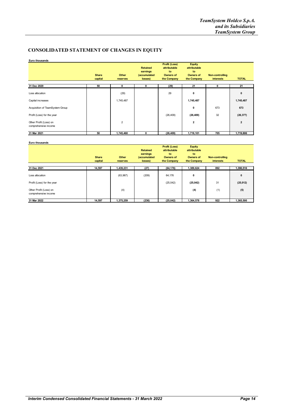#### **CONSOLIDATED STATEMENT OF CHANGES IN EQUITY**

| Euro thousands                                 |              |                |                                             |                                                         |                                                         |                        |                |
|------------------------------------------------|--------------|----------------|---------------------------------------------|---------------------------------------------------------|---------------------------------------------------------|------------------------|----------------|
|                                                | <b>Share</b> | Other          | <b>Retained</b><br>earnings<br>(accumulated | Profit (Loss)<br>attributable<br>to<br><b>Owners of</b> | <b>Equity</b><br>attributable<br>to<br><b>Owners of</b> | <b>Non-controlling</b> |                |
|                                                | capital      | reserves       | losses)                                     | the Company                                             | the Company                                             | <b>interests</b>       | <b>TOTAL</b>   |
| 31 Dec 2020                                    | 50           | 0              | 0                                           | (29)                                                    | 21                                                      | 0                      | 21             |
| Loss allocation                                |              | (29)           |                                             | 29                                                      | 0                                                       |                        | $\mathbf 0$    |
| Capital increases                              |              | 1,745,487      |                                             |                                                         | 1,745,487                                               |                        | 1,745,487      |
| Acquisition of TeamSystem Group                |              |                |                                             |                                                         | 0                                                       | 673                    | 673            |
| Profit (Loss) for the year                     |              |                |                                             | (26, 409)                                               | (26, 409)                                               | 32                     | (26, 377)      |
| Other Profit (Loss) on<br>comprehensive income |              | $\overline{2}$ |                                             |                                                         | $\mathbf{2}$                                            |                        | $\overline{2}$ |
| 31 Mar 2021                                    | 50           | 1,745,460      | 0                                           | (26, 409)                                               | 1,719,101                                               | 705                    | 1,719,806      |

|                                                |                         |                   | <b>Retained</b>                     | <b>Profit (Loss)</b><br>attributable  | <b>Equity</b><br>attributable         |                                            |              |
|------------------------------------------------|-------------------------|-------------------|-------------------------------------|---------------------------------------|---------------------------------------|--------------------------------------------|--------------|
|                                                | <b>Share</b><br>capital | Other<br>reserves | earnings<br>(accumulated<br>losses) | to<br><b>Owners of</b><br>the Company | to<br><b>Owners of</b><br>the Company | <b>Non-controlling</b><br><b>interests</b> | <b>TOTAL</b> |
| 31 Dec 2021                                    | 14,597                  | 1,439,231         | (27)                                | (64, 176)                             | 1,389,624                             | 892                                        | 1,390,516    |
| Loss allocation                                |                         | (63,967)          | (209)                               | 64,176                                | 0                                     |                                            | 0            |
| Profit (Loss) for the year                     |                         |                   |                                     | (25,042)                              | (25, 042)                             | 31                                         | (25, 012)    |
| Other Profit (Loss) on<br>comprehensive income |                         | (4)               |                                     |                                       | (4)                                   | (1)                                        | (5)          |
| 31 Mar 2022                                    | 14,597                  | 1,375,259         | (236)                               | (25, 042)                             | 1,364,578                             | 922                                        | 1,365,500    |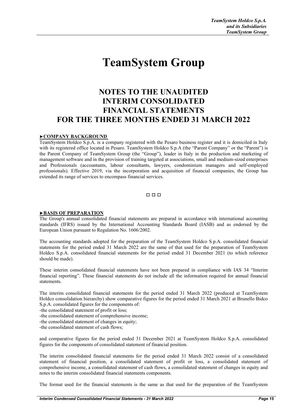# **TeamSystem Group**

#### **NOTES TO THE UNAUDITED INTERIM CONSOLIDATED FINANCIAL STATEMENTS FOR THE THREE MONTHS ENDED 31 MARCH 2022**

#### **►COMPANY BACKGROUND**

TeamSystem Holdco S.p.A. is a company registered with the Pesaro business register and it is domiciled in Italy with its registered office located in Pesaro. TeamSystem Holdco S.p.A (the "Parent Company" or the "Parent") is the Parent Company of TeamSystem Group (the "Group"), leader in Italy in the production and marketing of management software and in the provision of training targeted at associations, small and medium-sized enterprises and Professionals (accountants, labour consultants, lawyers, condominium managers and self-employed professionals). Effective 2019, via the incorporation and acquisition of financial companies, the Group has extended its range of services to encompass financial services.

#### □ □ □

#### **►BASIS OF PREPARATION**

The Group's annual consolidated financial statements are prepared in accordance with international accounting standards (IFRS) issued by the International Accounting Standards Board (IASB) and as endorsed by the European Union pursuant to Regulation No. 1606/2002.

The accounting standards adopted for the preparation of the TeamSystem Holdco S.p.A. consolidated financial statements for the period ended 31 March 2022 are the same of that used for the preparation of TeamSystem Holdco S.p.A. consolidated financial statements for the period ended 31 December 2021 (to which reference should be made).

These interim consolidated financial statements have not been prepared in compliance with IAS 34 "Interim financial reporting". These financial statements do not include all the information required for annual financial statements.

The interim consolidated financial statements for the period ended 31 March 2022 (produced at TeamSystem Holdco consolidation hierarchy) show comparative figures for the period ended 31 March 2021 at Brunello Bidco S.p.A. consolidated figures for the components of:

-the consolidated statement of profit or loss;

- -the consolidated statement of comprehensive income;
- -the consolidated statement of changes in equity;

-the consolidated statement of cash flows;

and comparative figures for the period ended 31 December 2021 at TeamSystem Holdco S.p.A. consolidated figures for the components of consolidated statement of financial position.

The interim consolidated financial statements for the period ended 31 March 2022 consist of a consolidated statement of financial position, a consolidated statement of profit or loss, a consolidated statement of comprehensive income, a consolidated statement of cash flows, a consolidated statement of changes in equity and notes to the interim consolidated financial statements components.

The format used for the financial statements is the same as that used for the preparation of the TeamSystem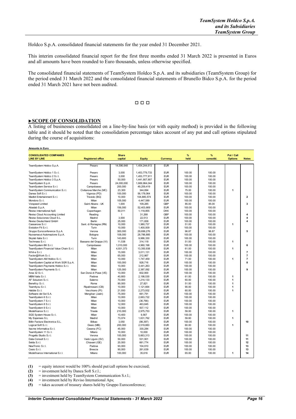Holdco S.p.A. consolidated financial statements for the year ended 31 December 2021.

This interim consolidated financial report for the first three months ended 31 March 2022 is presented in Euros and all amounts have been rounded to Euro thousands, unless otherwise specified.

The consolidated financial statements of TeamSystem Holdco S.p.A. and its subsidiaries (TeamSystem Group) for the period ended 31 March 2022 and the consolidated financial statements of Brunello Bidco S.p.A. for the period ended 31 March 2021 have not been audited.

#### □ □ □

#### **►SCOPE OF CONSOLIDATION**

A listing of businesses consolidated on a line-by-line basis (or with equity method) is provided in the following table and it should be noted that the consolidation percentage takes account of any put and call options stipulated during the course of acquisitions:

| <b>Amounts in Euro</b>                               |                          |                         |               |            |           |                |                              |                         |
|------------------------------------------------------|--------------------------|-------------------------|---------------|------------|-----------|----------------|------------------------------|-------------------------|
| <b>CONSOLIDATED COMPANIES</b><br><b>LINE BY LINE</b> | <b>Registered office</b> | <b>Share</b><br>capital | <b>Equity</b> | Currency   | %<br>held | %<br>consolid. | Put / Call<br><b>Options</b> | <b>Notes</b>            |
|                                                      |                          |                         |               |            |           |                |                              |                         |
| TeamSystem Holdco S.p.A.                             | Pesaro                   | 14,596,648              | 1,454,244,613 | <b>EUR</b> |           |                |                              |                         |
| TeamSystem Holdco 1 S.r.l.                           | Pesaro                   | 3,000                   | 1,453,779,733 | <b>EUR</b> | 100.00    | 100.00         |                              |                         |
| TeamSystem Holdco 2 S.r.l.                           | Pesaro                   | 3,000                   | 1,453,777,911 | <b>EUR</b> | 100.00    | 100.00         |                              |                         |
| TeamSystem Holdco 3 S.p.A.                           | Pesaro                   | 50,000                  | 1,441,907,907 | <b>EUR</b> | 100.00    | 100.00         |                              |                         |
| TeamSystem S.p.A.                                    | Pesaro                   | 24,000,000              | 1,669,964,044 | <b>EUR</b> | 100.00    | 100.00         |                              |                         |
| TeamSystem Service S.r.l.                            | Campobasso               | 200,000                 | 49,259,419    | <b>EUR</b> | 100.00    | 100.00         |                              |                         |
| TeamSystem Communication S.r.l.                      | Civitanova Marche (MC)   | 23,300                  | 344,894       | <b>EUR</b> | 75.00     | 100.00         | 1                            |                         |
| Danea Soft S.r.l.                                    | Vigonza (PD)             | 100,000                 | 56,178,064    | <b>EUR</b> | 100.00    | 100.00         |                              |                         |
| Madbit Entertainment S.r.l.                          | Treviolo (BG)            | 10,000                  | 104.885.574   | <b>EUR</b> | 100.00    | 100.00         |                              | $\overline{\mathbf{2}}$ |
| Mondora S.r.l.                                       | Milan                    | 105,000                 | 4,447,589     | <b>EUR</b> | 100.00    | 100.00         |                              |                         |
| <b>Voispeed Limited</b>                              | Saint Albans - UK        | 1,000                   | 109,285       | <b>GBP</b> | 85.00     | 85.00          |                              | 3                       |
| Aliaslab S.p.A.                                      | Milan                    | 156,000                 | 52,403,669    | <b>EUR</b> | 100.00    | 100.00         |                              |                         |
| Reviso International ApS                             | Copenhagen               | 50,011                  | 1,118,855     | <b>DKK</b> | 100.00    | 100.00         |                              |                         |
| Reviso Cloud Accounting Limited                      | Reading                  | $\mathbf{1}$            | 31,268        | <b>GBP</b> | 100.00    | 100.00         |                              | 4                       |
| Reviso Soluciones Cloud S.L.                         | Madrid                   | 3.000                   | 22.513        | <b>EUR</b> | 100.00    | 100.00         |                              | 4                       |
| Reviso Deutschland GmbH                              | Berlin                   | 25,000                  | 171,658       | <b>EUR</b> | 100.00    | 100.00         |                              | 4                       |
| Cassanova S.r.I                                      | Sant. di Romagna (RN)    | 10,000                  | 1,980,737     | <b>EUR</b> | 51.00     | 100.00         | 1                            |                         |
| Evolution Fit S.r.l.                                 | Turin                    | 10,000                  | 1,400,009     | <b>EUR</b> | 100.00    | 100.00         |                              |                         |
| Gruppo Euroconference S.p.A.                         | Verona                   | 300,000                 | 29,699,276    | <b>EUR</b> | 96.87     | 96.87          |                              | 5                       |
| Nuovamacut Automazione S.p.A.                        | Bologna                  | 108,000                 | 28,786,885    | <b>EUR</b> | 100.00    | 100.00         |                              |                         |
| Skylab Italia S.r.l.                                 | Turin                    | 143,600                 | 9,986,330     | <b>EUR</b> | 100.00    | 100.00         |                              |                         |
| Techmass S.r.l.                                      | Bassano del Grappa (VI)  | 11,538                  | 314,118       | <b>EUR</b> | 51.00     | 100.00         | 1                            |                         |
| TeamSystem BK S.r.l.                                 | Campobasso               | 1,010,000               | 4,960,198     | <b>EUR</b> | 100.00    | 100.00         |                              | 6                       |
| TeamSystem Financial Value Chain S.r.l.              | Milan                    | 4,931,373               | 13,350,938    | <b>EUR</b> | 61.00     | 100.00         | 1                            |                         |
| Whit-e S.r.l.                                        | Milan                    | 15,000                  | 3,011,131     | <b>EUR</b> | 100.00    | 100.00         |                              | $\overline{\mathbf{r}}$ |
| Factor@Work S.r.l.                                   | Milan                    | 65,000                  | 212,867       | <b>EUR</b> | 100.00    | 100.00         |                              | $\overline{7}$          |
| TeamSystem AM Holdco S.r.l.                          | Milan                    | 10,000                  | 1,747,459     | <b>EUR</b> | 71.00     | 100.00         | 1                            | $\overline{7}$          |
| TeamSystem Capital at Work SGR S.p.A.                | Milan                    | 100,000                 | 928,716       | <b>EUR</b> | 100.00    | 100.00         |                              | 8                       |
| TeamSystem Payments Holdco S.r.l.                    | Milan                    | 10,000                  | 3,441,263     | <b>EUR</b> | 100.00    | 100.00         |                              |                         |
| TeamSystem Payments S.r.l.                           | Milan                    | 125,000                 | 2,387,092     | <b>EUR</b> | 100.00    | 100.00         |                              | 9                       |
| Area 32 S.r.l.                                       | San Donà di Piave (VE)   | 10,000                  | 602,900       | <b>EUR</b> | 100.00    | 100.00         |                              |                         |
| MBM Italia S.r.l.                                    | Padova                   | 40,800                  | 2,198,530     | <b>EUR</b> | 61.00     | 100.00         | 1                            |                         |
| AF Soluzioni S.r.l.                                  | Salerno                  | 70,000                  | 1,214,133     | <b>EUR</b> | 60.00     | 100.00         | 1                            |                         |
| Beneficy S.r.l.                                      | Roma                     | 90,000                  | 27,821        | <b>EUR</b> | 51.00     | 100.00         | 1                            |                         |
| Team4you S.r.l.                                      | Ripalimosani (CB)        | 10,000                  | 1,121,664     | <b>EUR</b> | 90.00     | 100.00         | 1                            |                         |
| Habble S.r.l.                                        | Vecchiano (PI)           | 21,930                  | 2,273,932     | <b>EUR</b> | 60.00     | 100.00         | 1                            |                         |
| Software del Sol S.A.                                | Mengibar (Jaén)          | 75,000                  | 661,791       | <b>EUR</b> | 100.00    | 100.00         |                              |                         |
| TeamSystem 6 S.r.l.                                  | Milan                    | 10,000                  | 2,663,722     | <b>EUR</b> | 100.00    | 100.00         |                              |                         |
| TeamSystem 7 S.r.l.                                  | Milan                    | 10,000                  | (36, 766)     | <b>EUR</b> | 100.00    | 100.00         |                              |                         |
| TeamSystem 8 S.r.l.                                  | Milan                    | 12,000                  | 463,845       | <b>EUR</b> | 100.00    | 100.00         |                              |                         |
| TeamSystem 9 S.r.l.                                  | Milan                    | 10,000                  | 507,112       | <b>EUR</b> | 100.00    | 100.00         |                              |                         |
| Modefinance S.r.l.                                   | Trieste                  | 210,000                 | 2,975,753     | <b>EUR</b> | 59.00     | 100.00         | 1                            |                         |
| SGS System House S.r.l.                              | Milan                    | 10,400                  | 9,567         | <b>EUR</b> | 100.00    | 100.00         |                              |                         |
| My Expenses S.L                                      | Madrid                   | 73,074                  | 1,631,762     | <b>EUR</b> | 59.60     | 100.00         | 1                            |                         |
| Billin Factura Electronica S.L.                      | Bilbao                   | 3,050                   | (98, 397)     | <b>EUR</b> | 100.00    | 100.00         |                              | 10                      |
| Logical Soft S.r.l.                                  | Desio (MB)               | 200,000                 | 2,519,883     | <b>EUR</b> | 60.00     | 100.00         | 1                            |                         |
| Itacme Informatica S.r.I.                            | Cesena (FC)              | 45,000                  | 330,284       | <b>EUR</b> | 100.00    | 100.00         |                              |                         |
| TeamSystem 11 S.r.l.                                 | Milano                   | 10,000                  | 10,000        | <b>EUR</b> | 100.00    | 100.00         |                              |                         |
| Progetto Studio S.r.l.                               | Verona                   | 100,000                 | 5,663,313     | <b>EUR</b> | 100.00    | 100.00         |                              | 11                      |
| Data-Consult S.r.l.                                  | Vado Ligure (SV)         | 50,000                  | 531,901       | <b>EUR</b> | 100.00    | 100.00         |                              | 11                      |
| Selda S.r.l.                                         | Chiavani (GE)            | 20,000                  | 661,774       | <b>EUR</b> | 100.00    | 100.00         |                              | 12                      |
| NewTronic S.r.l.                                     | Padova                   | 93,000                  | 104,910       | <b>EUR</b> | 100.00    | 100.00         |                              | 13                      |
| Cesio S.r.l.                                         | Brescia                  | 90,000                  | 261,639       | <b>EUR</b> | 100.00    | 100.00         |                              | 13                      |
| Modefinance International S.r.l.                     | Milano                   | 100,000                 | 35,616        | <b>EUR</b> | 65.00     | 100.00         | 1                            | 14                      |
|                                                      |                          |                         |               |            |           |                |                              |                         |

**(1)** = equity interest would be 100% should put/call options be exercised;

(2)  $=$  investment held by Danea Soft S.r.l.;<br>(3)  $=$  investment held by TeamSystem Con **(3)** = investment held by TeamSystem Communication S.r.l.;

**(4)** = investment held by Reviso International Aps;

**(5)** = takes account of treasury shares held by Gruppo Euroconference;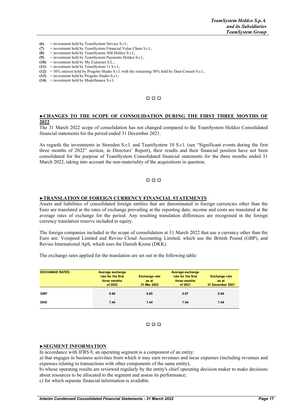- **(6)** = investment held by TeamSystem Service S.r.l.;<br>(7) = investment held by TeamSystem Financial Value
- (7) = investment held by TeamSystem Financial Value Chain S.r.l.;<br> **(8)** = investment held by TeamSystem AM Holdco S.r.l.;
- **(8)** = investment held by TeamSystem AM Holdco S.r.l.;<br>**(9)** = investment held by TeamSystem Payments Holdco
- **(9)** = investment held by TeamSystem Payments Holdco S.r.l.;
- **(10)** = investment held by My Expenses S.L.;
- **(11)** = investment held by TeamSystem 11 S.r.l.;
- **(12)** = 50% interest held by Progetto Studio S.r.l. with the remaining 50% held by Data-Consult S.r.l.;
- **(13)** = investment held by Progetto Studio S.r.l.;
- **(14)** = investment held by Modefinance S.r.l..

#### □ □ □

#### **►CHANGES TO THE SCOPE OF CONSOLIDATION DURING THE FIRST THREE MONTHS OF 2022**

The 31 March 2022 scope of consolidation has not changed compared to the TeamSystem Holdco Consolidated financial statements for the period ended 31 December 2021.

As regards the investments in Storeden S.r.l. and TeamSystem 10 S.r.l. (see "Significant events during the first three months of 2022" section, in Directors' Report), their results and their financial position have not been consolidated for the purpose of TeamSystem Consolidated financial statements for the three months ended 31 March 2022, taking into account the non-materiality of the acquisitions in question.

#### □ □ □

#### **►TRANSLATION OF FOREIGN CURRENCY FINANCIAL STATEMENTS**

Assets and liabilities of consolidated foreign entities that are denominated in foreign currencies other than the Euro are translated at the rates of exchange prevailing at the reporting date; income and costs are translated at the average rates of exchange for the period. Any resulting translation differences are recognised in the foreign currency translation reserve included in equity.

The foreign companies included in the scope of consolidation at 31 March 2022 that use a currency other than the Euro are: Voispeed Limited and Reviso Cloud Accounting Limited, which use the British Pound (GBP), and Reviso International ApS, which uses the Danish Krone (DKK).

The exchange rates applied for the translation are set out in the following table:

| <b>EXCHANGE RATES</b> | Average exchange                              |                                              | Average exchange                              |                                                   |
|-----------------------|-----------------------------------------------|----------------------------------------------|-----------------------------------------------|---------------------------------------------------|
|                       | rate for the first<br>three months<br>of 2022 | <b>Exchange rate</b><br>as at<br>31 Mar 2022 | rate for the first<br>three months<br>of 2021 | <b>Exchange rate</b><br>as at<br>31 December 2021 |
| <b>GBP</b>            | 0.84                                          | 0.85                                         | 0.87                                          | 0.84                                              |
| <b>DKK</b>            | 7.44                                          | 7.44                                         | 7.44                                          | 7.44                                              |

#### □ □ □

#### **►SEGMENT INFORMATION**

In accordance with IFRS 8, an operating segment is a component of an entity:

a) that engages in business activities from which it may earn revenues and incur expenses (including revenues and expenses relating to transactions with other components of the same entity);

b) whose operating results are reviewed regularly by the entity's chief operating decision maker to make decisions about resources to be allocated to the segment and assess its performance;

c) for which separate financial information is available.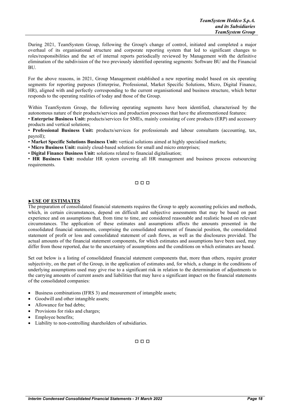During 2021, TeamSystem Group, following the Group's change of control, initiated and completed a major overhaul of its organisational structure and corporate reporting system that led to significant changes to roles/responsibilities and the set of internal reports periodically reviewed by Management with the definitive elimination of the subdivision of the two previously identified operating segments: Software BU and the Financial BU.

For the above reasons, in 2021, Group Management established a new reporting model based on six operating segments for reporting purposes (Enterprise, Professional, Market Specific Solutions, Micro, Digital Finance, HR), aligned with and perfectly corresponding to the current organisational and business structure, which better responds to the operating realities of today and those of the Group.

Within TeamSystem Group, the following operating segments have been identified, characterised by the autonomous nature of their products/services and production processes that have the aforementioned features:

• **Enterprise Business Unit:** products/services for SMEs, mainly consisting of core products (ERP) and accessory products and vertical solutions;

• **Professional Business Unit:** products/services for professionals and labour consultants (accounting, tax, payroll);

• **Market Specific Solutions Business Unit:** vertical solutions aimed at highly specialised markets;

• **Micro Business Unit:** mainly cloud-based solutions for small and micro enterprises;

• **Digital Finance Business Unit:** solutions related to financial digitalisation;

• **HR Business Unit:** modular HR system covering all HR management and business process outsourcing requirements.

#### □ □ □

#### **►USE OF ESTIMATES**

The preparation of consolidated financial statements requires the Group to apply accounting policies and methods, which, in certain circumstances, depend on difficult and subjective assessments that may be based on past experience and on assumptions that, from time to time, are considered reasonable and realistic based on relevant circumstances. The application of these estimates and assumptions affects the amounts presented in the consolidated financial statements, comprising the consolidated statement of financial position, the consolidated statement of profit or loss and consolidated statement of cash flows, as well as the disclosures provided. The actual amounts of the financial statement components, for which estimates and assumptions have been used, may differ from those reported, due to the uncertainty of assumptions and the conditions on which estimates are based.

Set out below is a listing of consolidated financial statement components that, more than others, require greater subjectivity, on the part of the Group, in the application of estimates and, for which, a change in the conditions of underlying assumptions used may give rise to a significant risk in relation to the determination of adjustments to the carrying amounts of current assets and liabilities that may have a significant impact on the financial statements of the consolidated companies:

- Business combinations (IFRS 3) and measurement of intangible assets;
- Goodwill and other intangible assets;
- Allowance for bad debts;
- Provisions for risks and charges;
- Employee benefits:
- Liability to non-controlling shareholders of subsidiaries.

#### □ □ □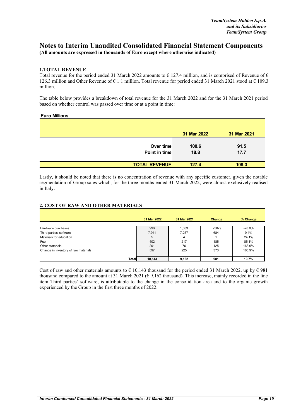#### **Notes to Interim Unaudited Consolidated Financial Statement Components (All amounts are expressed in thousands of Euro except where otherwise indicated)**

#### **1.TOTAL REVENUE**

Total revenue for the period ended 31 March 2022 amounts to  $\epsilon$  127.4 million, and is comprised of Revenue of  $\epsilon$ 126.3 million and Other Revenue of  $\epsilon$  1.1 million. Total revenue for period ended 31 March 2021 stood at  $\epsilon$  109.3 million.

The table below provides a breakdown of total revenue for the 31 March 2022 and for the 31 March 2021 period based on whether control was passed over time or at a point in time:

#### **Euro Millions**

|                      | 31 Mar 2022 | 31 Mar 2021 |
|----------------------|-------------|-------------|
|                      |             |             |
| Over time            | 108.6       | 91.5        |
| Point in time        | 18.8        | 17.7        |
|                      |             |             |
| <b>TOTAL REVENUE</b> | 127.4       | 109.3       |

Lastly, it should be noted that there is no concentration of revenue with any specific customer, given the notable segmentation of Group sales which, for the three months ended 31 March 2022, were almost exclusively realised in Italy.

#### **2. COST OF RAW AND OTHER MATERIALS**

|                                      | 31 Mar 2022 | 31 Mar 2021 | Change | % Change |
|--------------------------------------|-------------|-------------|--------|----------|
| Hardware purchases                   | 996         | 1,383       | (387)  | $-28.0%$ |
| Third parties' software              | 7,941       | 7,257       | 684    | 9.4%     |
| Materials for education              | 5           | 4           |        | 24.1%    |
| Fuel                                 | 402         | 217         | 185    | 85.1%    |
| Other materials                      | 201         | 76          | 125    | 163.9%   |
| Change in inventory of raw materials | 597         | 225         | 373    | 165.9%   |
|                                      |             |             |        |          |
| <b>Total</b>                         | 10,143      | 9,162       | 981    | 10.7%    |

Cost of raw and other materials amounts to  $\epsilon$  10,143 thousand for the period ended 31 March 2022, up by  $\epsilon$  981 thousand compared to the amount at 31 March 2021 ( $\epsilon$  9,162 thousand). This increase, mainly recorded in the line item Third parties' software, is attributable to the change in the consolidation area and to the organic growth experienced by the Group in the first three months of 2022.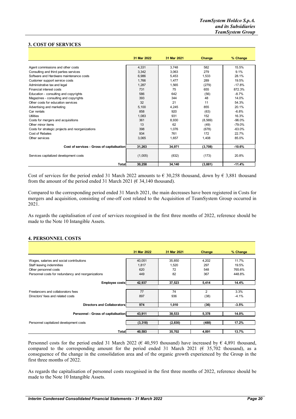#### **3. COST OF SERVICES**

|                                                  | 31 Mar 2022 | 31 Mar 2021 | Change   | % Change |
|--------------------------------------------------|-------------|-------------|----------|----------|
|                                                  |             |             |          |          |
| Agent commissions and other costs                | 4,331       | 3.748       | 582      | 15.5%    |
| Consulting and third parties services            | 3,342       | 3,063       | 279      | 9.1%     |
| Software and Hardware maintenance costs          | 6.986       | 5.453       | 1.533    | 28.1%    |
| Customer support service costs                   | 1.766       | 1.477       | 289      | 19.5%    |
| Administrative tax and legal                     | 1.287       | 1,565       | (279)    | $-17.8%$ |
| Financial interest costs                         | 731         | 75          | 655      | 872.3%   |
| Education - consulting and copyrights            | 586         | 642         | (56)     | $-8.7%$  |
| Magazines - consulting and copyrights            | 393         | 344         | 48       | 14.0%    |
| Other costs for education services               | 32          | 21          | 11       | 54.3%    |
| Advertising and marketing                        | 5,100       | 4,245       | 855      | 20.1%    |
| Car rentals                                      | 858         | 920         | (63)     | $-6.8%$  |
| <b>Utilities</b>                                 | 1,083       | 931         | 152      | 16.3%    |
| Costs for mergers and acquisitions               | 361         | 8.930       | (8, 569) | $-96.0%$ |
| Other minor items                                | 13          | 62          | (49)     | $-79.0%$ |
| Costs for strategic projects and reorganizations | 398         | 1.076       | (678)    | $-63.0%$ |
| Cost of Rebates                                  | 934         | 761         | 172      | 22.7%    |
| Other services                                   | 3,065       | 1.657       | 1,408    | 85.0%    |
|                                                  |             |             |          |          |
| Cost of services - Gross of capitalisation       | 31,263      | 34,971      | (3,708)  | $-10.6%$ |
|                                                  |             |             |          |          |
| Services capitalized development costs           | (1,005)     | (832)       | (173)    | 20.8%    |
| <b>Total</b>                                     | 30,258      | 34,140      | (3,881)  | $-11.4%$ |

Cost of services for the period ended 31 March 2022 amounts to  $\epsilon$  30,258 thousand, down by  $\epsilon$  3,881 thousand from the amount of the period ended 31 March 2021 ( $\epsilon$  34,140 thousand).

Compared to the corresponding period ended 31 March 2021, the main decreases have been registered in Costs for mergers and acquisition, consisting of one-off cost related to the Acquisition of TeamSystem Group occurred in 2021.

As regards the capitalisation of cost of services recognised in the first three months of 2022, reference should be made to the Note 10 Intangible Assets.

#### **4. PERSONNEL COSTS**

|                                                    | 31 Mar 2022 | 31 Mar 2021 | Change | % Change |
|----------------------------------------------------|-------------|-------------|--------|----------|
|                                                    |             |             |        |          |
| Wages, salaries and social contributions           | 40,051      | 35,850      | 4,202  | 11.7%    |
| Staff leaving indemnities                          | 1,817       | 1,520       | 297    | 19.5%    |
| Other personnel costs                              | 620         | 72          | 548    | 765.6%   |
| Personnel costs for redundancy and reorganizations | 449         | 82          | 367    | 448.8%   |
|                                                    |             |             |        |          |
| <b>Employee costs</b>                              | 42,937      | 37,523      | 5,414  | 14.4%    |
|                                                    |             |             |        |          |
| Freelancers and collaborators fees                 | 77          | 74          | 2      | 3.3%     |
| Directors' fees and related costs                  | 897         | 936         | (38)   | $-4.1%$  |
|                                                    |             |             |        |          |
| <b>Directors and Collaborators</b>                 | 974         | 1.010       | (36)   | $-3.5%$  |
|                                                    |             |             |        |          |
| Personnel - Gross of capitalisation                | 43,911      | 38,533      | 5,378  | 14.0%    |
|                                                    |             |             |        |          |
| Personnel capitalized development costs            | (3, 318)    | (2,830)     | (488)  | 17.2%    |
|                                                    |             |             |        |          |
| Total                                              | 40,593      | 35,702      | 4,891  | 13.7%    |

Personnel costs for the period ended 31 March 2022 ( $\epsilon$  40,593 thousand) have increased by  $\epsilon$  4,891 thousand, compared to the corresponding amount for the period ended 31 March 2021 ( $\epsilon$  35,702 thousand), as a conseguence of the change in the consolidation area and of the organic growth experienced by the Group in the first three months of 2022.

As regards the capitalisation of personnel costs recognised in the first three months of 2022, reference should be made to the Note 10 Intangible Assets.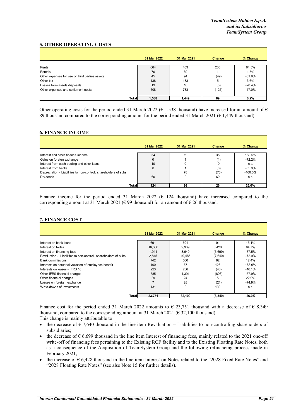#### **5. OTHER OPERATING COSTS**

|                                                | 31 Mar 2022 | 31 Mar 2021 | Change | % Change |
|------------------------------------------------|-------------|-------------|--------|----------|
| Rents                                          | 664         | 403         | 260    | 64.5%    |
| Rentals                                        | 70          | 69          |        | 1.5%     |
| Other expenses for use of third parties assets | 45          | 94          | (49)   | $-51.9%$ |
| Other tax                                      | 138         | 133         | 5      | 3.6%     |
| Losses from assets disposals                   | 13          | 16          | (3)    | $-20.4%$ |
| Other expenses and settlement costs            | 608         | 733         | (125)  | $-17.0%$ |
|                                                |             |             |        |          |
| Total                                          | 1,538       | 1.449       | 89     | 6.2%     |

Other operating costs for the period ended 31 March 2022 ( $\epsilon$  1,538 thousand) have increased for an amount of  $\epsilon$ 89 thousand compared to the corresponding amount for the period ended 31 March 2021 (€ 1,449 thousand).

#### **6. FINANCE INCOME**

|                                                                   | 31 Mar 2022 | 31 Mar 2021 | Change | % Change   |
|-------------------------------------------------------------------|-------------|-------------|--------|------------|
| Interest and other finance income                                 | 54          | 19          | 35     | 188.5%     |
| Gains on foreign exchange                                         |             |             | (1)    | $-72.2%$   |
| Interest from cash pooling and other loans                        | 10          |             | 10     | n.s.       |
| Interest from banks                                               | 0           |             | (0)    | $-55.9%$   |
| Depreciation - Liabilities to non-controll. shareholders of subs. |             | 78          | (78)   | $-100.0\%$ |
| <b>Dividends</b>                                                  | 60          |             | 60     | n.s.       |
| Total                                                             | 124         | 99          | 26     | 26.0%      |

Finance income for the period ended 31 March 2022 ( $\epsilon$  124 thousand) have increased compared to the corresponding amount at 31 March 2021 ( $\epsilon$  99 thousand) for an amount of  $\epsilon$  26 thousand.

#### **7. FINANCE COST**

.

|                                                                  | 31 Mar 2022    | 31 Mar 2021 | Change   | % Change |
|------------------------------------------------------------------|----------------|-------------|----------|----------|
|                                                                  |                |             |          |          |
| Interest on bank loans                                           | 691            | 601         | 91       | 15.1%    |
| Interest on Notes                                                | 16,366         | 9,939       | 6.428    | 64.7%    |
| Interest on financing fees                                       | 1.941          | 8.640       | (6,699)  | $-77.5%$ |
| Revaluation - Liabilities to non-controll, shareholders of subs. | 2,845          | 10.485      | (7,640)  | $-72.9%$ |
| <b>Bank commissions</b>                                          | 742            | 660         | 82       | 12.4%    |
| Interests on actuarial valuation of employees benefit            | 190            | 67          | 123      | 183.6%   |
| Interests on leases - IFRS 16                                    | 223            | 266         | (43)     | $-16.1%$ |
| Other IFRS financial charges                                     | 585            | 1.391       | (806)    | $-57.9%$ |
| Other financial charges                                          | 29             | 24          | 5        | 22.9%    |
| Losses on foreign exchange                                       | $\overline{7}$ | 28          | (21)     | $-74.9%$ |
| Write-downs of investments                                       | 131            | $\Omega$    | 130      | n.s.     |
|                                                                  |                |             |          |          |
| <b>Total</b>                                                     | 23.751         | 32.100      | (8, 349) | $-26.0%$ |

Finance cost for the period ended 31 March 2022 amounts to  $\epsilon$  23,751 thousand with a decrease of  $\epsilon$  8,349 thousand, compared to the corresponding amount at 31 March 2021 ( $\epsilon$  32,100 thousand).

This change is mainly attributable to:

- the decrease of  $\epsilon$  7,640 thousand in the line item Revaluation Liabilities to non-controlling shareholders of subsidiaries;
- the decrease of  $\epsilon$  6,699 thousand in the line item Interest of financing fees, mainly related to the 2021 one-off write-off of financing fees pertaining to the Existing RCF facility and to the Existing Floating Rate Notes, both as a consequence of the Acquisition of TeamSystem Group and the following refinancing process made in February 2021;
- the increase of  $\epsilon$  6,428 thousand in the line item Interest on Notes related to the "2028 Fixed Rate Notes" and "2028 Floating Rate Notes" (see also Note 15 for further details).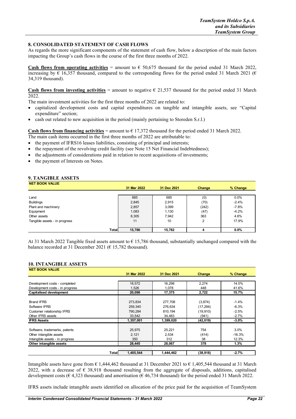#### **8. CONSOLIDATED STATEMENT OF CASH FLOWS**

As regards the more significant components of the statement of cash flow, below a description of the main factors impacting the Group's cash flows in the course of the first three months of 2022.

**Cash flows from operating activities** = amount to  $\epsilon$  50,675 thousand for the period ended 31 March 2022, increasing by  $\epsilon$  16,357 thousand, compared to the corresponding flows for the period ended 31 March 2021 ( $\epsilon$ 34,319 thousand).

**Cash flows from investing activities** = amount to negative  $\epsilon$  21,537 thousand for the period ended 31 March 2022.

The main investment activities for the first three months of 2022 are related to:

- capitalized development costs and capital expenditures on tangible and intangible assets, see "Capital expenditure" section;
- cash out related to new acquisition in the period (mainly pertaining to Storeden S.r.l.)

**Cash flows from financing activities** = amount to  $\epsilon$  17,372 thousand for the period ended 31 March 2022.

- The main cash items occurred in the first three months of 2022 are attributable to:
- the payment of IFRS16 leases liabilities, consisting of principal and interests;
- the repayment of the revolving credit facility (see Note 15 Net Financial Indebtedness);
- the adjustments of considerations paid in relation to recent acquisitions of investments;
- the payment of Interests on Notes.

#### **9. TANGIBLE ASSETS**

| <b>NET BOOK VALUE</b>         |              |             |             |        |          |
|-------------------------------|--------------|-------------|-------------|--------|----------|
|                               |              | 31 Mar 2022 | 31 Dec 2021 | Change | % Change |
|                               |              |             |             |        |          |
| Land                          |              | 685         | 685         | (0)    | 0.0%     |
| <b>Buildings</b>              |              | 2,845       | 2,915       | (70)   | $-2.4%$  |
| Plant and machinery           |              | 2,857       | 3,099       | (242)  | $-7.8%$  |
| Equipment                     |              | 1,083       | 1,130       | (47)   | $-4.2%$  |
| Other assets                  |              | 8,305       | 7.942       | 363    | 4.6%     |
| Tangible assets - in progress |              | 11          | 10          | 2      | 17.9%    |
|                               |              |             |             |        |          |
|                               | <b>Total</b> | 15,786      | 15,782      | д      | $0.0\%$  |

At 31 March 2022 Tangible fixed assets amount to  $\epsilon$  15,786 thousand, substantially unchanged compared with the balance recorded at 31 December 2021 ( $\epsilon$  15,782 thousand).

#### **10. INTANGIBLE ASSETS**

| <b>NET BOOK VALUE</b>           |                    |             |           |          |
|---------------------------------|--------------------|-------------|-----------|----------|
|                                 | 31 Mar 2022        | 31 Dec 2021 | Change    | % Change |
|                                 |                    |             |           |          |
| Development costs - completed   | 18,572             | 16,298      | 2,274     | 14.0%    |
| Development costs - in progress | 1,526              | 1,078       | 448       | 41.6%    |
| <b>Capitalised development</b>  | 20,098             | 17,375      | 2,722     | 15.7%    |
| <b>Brand IFRS</b>               | 273.834            | 277,708     | (3,874)   | $-1.4%$  |
| Software IFRS                   | 259.340            | 276.634     | (17, 294) | $-6.3%$  |
| Customer relationship IFRS      | 790.284            | 810.194     | (19,910)  | $-2.5%$  |
| Other IFRS assets               | 33,542             | 34,483      | (941)     | $-2.7%$  |
| <b>IFRS Assets</b>              | 1,357,001          | 1,399,020   | (42,019)  | $-3.0\%$ |
| Software, trademarks, patents   | 25,975             | 25,221      | 754       | 3.0%     |
| Other intangible assets         | 2,121              | 2,534       | (414)     | $-16.3%$ |
| Intangible assets - in progress | 350                | 312         | 38        | 12.3%    |
| Other intangible assets         | 28,445             | 28,067      | 378       | 1.3%     |
|                                 | 1,405,544<br>Total | 1,444,462   | (38,918)  | $-2.7%$  |
|                                 |                    |             |           |          |

Intangible assets have gone from € 1,444,462 thousand at 31 December 2021 to € 1,405,544 thousand at 31 March 2022, with a decrease of  $\epsilon$  38,918 thousand resulting from the aggregate of disposals, additions, capitalised development costs ( $\epsilon$  4,323 thousand) and amortisation ( $\epsilon$  46,734 thousand) for the period ended 31 March 2022.

IFRS assets include intangible assets identified on allocation of the price paid for the acquisition of TeamSystem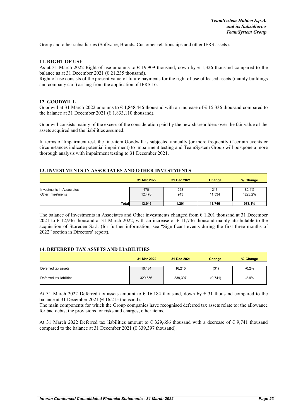Group and other subsidiaries (Software, Brands, Customer relationships and other IFRS assets).

#### **11. RIGHT OF USE**

As at 31 March 2022 Right of use amounts to  $\epsilon$  19,909 thousand, down by  $\epsilon$  1,326 thousand compared to the balance as at 31 December 2021 ( $\epsilon$  21,235 thousand).

Right of use consists of the present value of future payments for the right of use of leased assets (mainly buildings and company cars) arising from the application of IFRS 16.

#### **12. GOODWILL**

Goodwill at 31 March 2022 amounts to  $\epsilon$  1,848,446 thousand with an increase of  $\epsilon$  15,336 thousand compared to the balance at 31 December 2021 ( $\epsilon$  1,833,110 thousand).

Goodwill consists mainly of the excess of the consideration paid by the new shareholders over the fair value of the assets acquired and the liabilities assumed.

In terms of Impairment test, the line-item Goodwill is subjected annually (or more frequently if certain events or circumstances indicate potential impairment) to impairment testing and TeamSystem Group will postpone a more thorough analysis with impairment testing to 31 December 2021.

#### **13. INVESTMENTS IN ASSOCIATES AND OTHER INVESTMENTS**

|                                                | 31 Mar 2022   | 31 Dec 2021 | Change        | % Change         |
|------------------------------------------------|---------------|-------------|---------------|------------------|
| Investments in Associates<br>Other Investments | 470<br>12.476 | 258<br>943  | 213<br>11,534 | 82.4%<br>1223.2% |
| <b>Total</b>                                   | 12,946        | 1,201       | 11.746        | 978.1%           |

The balance of Investments in Associates and Other investments changed from  $\epsilon$  1,201 thousand at 31 December 2021 to  $\epsilon$  12,946 thousand at 31 March 2022, with an increase of  $\epsilon$  11,746 thousand mainly attributable to the acquisition of Storeden S.r.l. (for further information, see "Significant events during the first three months of 2022" section in Directors' report)**.**

#### **14. DEFERRED TAX ASSETS AND LIABILITIES**

|                          | 31 Mar 2022 | 31 Dec 2021 | Change  | % Change |
|--------------------------|-------------|-------------|---------|----------|
| Deferred tax assets      | 16.184      | 16,215      | (31)    | $-0.2%$  |
| Deferred tax liabilities | 329,656     | 339,397     | (9,741) | $-2.9%$  |

At 31 March 2022 Deferred tax assets amount to  $\epsilon$  16,184 thousand, down by  $\epsilon$  31 thousand compared to the balance at 31 December 2021 ( $\epsilon$  16,215 thousand).

The main components for which the Group companies have recognised deferred tax assets relate to: the allowance for bad debts, the provisions for risks and charges, other items.

At 31 March 2022 Deferred tax liabilities amount to  $\epsilon$  329,656 thousand with a decrease of  $\epsilon$  9,741 thousand compared to the balance at 31 December 2021 ( $\epsilon$  339,397 thousand).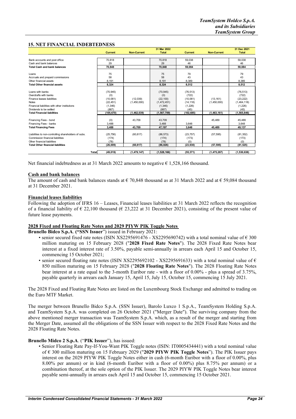#### **15. NET FINANCIAL INDEBTEDNESS**

|                                                      | 31 Mar 2022    |                    |              |                |                    | 31 Dec 2021   |
|------------------------------------------------------|----------------|--------------------|--------------|----------------|--------------------|---------------|
|                                                      | <b>Current</b> | <b>Non-Current</b> | <b>Total</b> | <b>Current</b> | <b>Non-Current</b> | <b>Total</b>  |
|                                                      |                |                    |              |                |                    |               |
| Bank accounts and post office                        | 70,818         |                    | 70,818       | 59,038         |                    | 59,038        |
| Cash and bank balances                               | 29             |                    | 29           | 46             |                    | 46            |
| <b>Total Cash and bank balances</b>                  | 70.848         |                    | 70.848       | 59.084         |                    | 59,084        |
|                                                      |                |                    |              |                |                    |               |
| Loans                                                | 75             |                    | 75           | 79             |                    | 79            |
| Accruals and prepaid commissions                     | 58             |                    | 58           | 43             |                    | 43            |
| Other financial assets                               | 8.191          |                    | 8.191        | 8.389          |                    | 8,389         |
| <b>Total Other financial assets</b>                  | 8.324          |                    | 8.324        | 8.512          |                    | 8.512         |
|                                                      |                |                    |              |                |                    |               |
| Loans with banks                                     | (70, 945)      |                    | (70, 945)    | (76, 513)      |                    | (76, 513)     |
| Overdrafts with banks                                | (0)            |                    | (0)          | (722)          |                    | (722)         |
| Finance leases liabilities                           | (10,061)       | (12,039)           | (22, 100)    | (10,061)       | (13, 161)          | (23, 222)     |
| <b>Notes</b>                                         | (22, 451)      | (1,450,000)        | (1,472,451)  | (14, 118)      | (1,450,000)        | (1,464,118)   |
| Financial liabilities with other institutions        | (1,346)        |                    | (1, 346)     | (1,226)        |                    | (1,226)       |
| Dividends to be settled                              | (867)          |                    | (867)        | (45)           |                    | (45)          |
| <b>Total Financial liabilities</b>                   | (105, 670)     | (1,462,039)        | (1,567,709)  | (102, 685)     | (1,463,161)        | (1, 565, 846) |
|                                                      |                |                    |              |                |                    |               |
| Financing Fees - bond                                | (0)            | 43.709             | 43.709       |                | 45.489             | 45.489        |
| Financing Fees - banks                               | 3,488          |                    | 3,488        | 3.648          |                    | 3,648         |
| <b>Total Financing Fees</b>                          | 3,488          | 43.709             | 47,197       | 3,648          | 45,489             | 49,137        |
|                                                      |                |                    |              |                |                    |               |
| Liabilities to non-controlling shareholders of subs. | (25, 756)      | (60, 817)          | (86, 573)    | (23, 757)      | (57, 595)          | (81, 352)     |
| Commission financial liabilities                     | (174)          |                    | (174)        | (173)          |                    | (173)         |
| Other financial liabilities                          | (78)           |                    | (78)         | (0)            |                    | (0)           |
| <b>Total Other financial liabilities</b>             | (26,009)       | (60, 817)          | (86, 826)    | (23, 930)      | (57, 595)          | (81, 525)     |
|                                                      |                |                    |              |                |                    |               |
| <b>Total</b>                                         | (49, 019)      | (1, 479, 147)      | (1,528,166)  | (55, 371)      | (1, 475, 267)      | (1,530,638)   |

Net financial indebtedness as at 31 March 2022 amounts to negative  $\epsilon$  1,528,166 thousand.

#### **Cash and bank balances**

The amount of cash and bank balances stands at  $\epsilon$  70,848 thousand as at 31 March 2022 and at  $\epsilon$  59,084 thousand at 31 December 2021.

#### **Financial leases liabilities**

Following the adoption of IFRS 16 – Leases, Financial leases liabilities at 31 March 2022 reflects the recognition of a financial liability of  $\epsilon$  22,100 thousand ( $\epsilon$  23,222 at 31 December 2021), consisting of the present value of future lease payments.

#### **2028 Fixed and Floating Rate Notes and 2029 PIYW PIK Toggle Notes**

**Brunello Bidco S.p.A**. **("SSN Issuer**") issued in February 2021:

- senior secured fixed rate notes (ISIN XS2295691476 XS2295690742) with a total nominal value of  $\epsilon$  300 million maturing on 15 February 2028 ("**2028 Fixed Rate Notes**"). The 2028 Fixed Rate Notes bear interest at a fixed interest rate of 3.50%, payable semi-annually in arrears each April 15 and October 15, commencing 15 October 2021;
- senior secured floating rate notes (ISIN XS2295692102 XS2295691633) with a total nominal value of  $\epsilon$ 850 million maturing on 15 February 2028 ("**2028 Floating Rate Notes**"). The 2028 Floating Rate Notes bear interest at a rate equal to the 3-month Euribor rate - with a floor of 0.00% - plus a spread of 3.75%, payable quarterly in arrears each January 15, April 15, July 15, October 15, commencing 15 July 2021.

The 2028 Fixed and Floating Rate Notes are listed on the Luxembourg Stock Exchange and admitted to trading on the Euro MTF Market.

The merger between Brunello Bidco S.p.A. (SSN Issuer), Barolo Luxco 1 S.p.A., TeamSystem Holding S.p.A. and TeamSystem S.p.A. was completed on 26 October 2021 ("Merger Date"). The surviving company from the above mentioned merger transaction was TeamSystem S.p.A. which, as a result of the merger and starting from the Merger Date, assumed all the obligations of the SSN Issuer with respect to the 2028 Fixed Rate Notes and the 2028 Floating Rate Notes.

#### **Brunello Midco 2 S.p.A**. ("**PIK Issuer**"), has issued:

• Senior Floating Rate Pay-If-You-Want PIK Toggle notes (ISIN: IT0005434441) with a total nominal value of € 300 million maturing on 15 February 2029 ("**2029 PIYW PIK Toggle Notes**"). The PIK Issuer pays interest on the 2029 PIYW PIK Toggle Notes either in cash (6-month Euribor with a floor of 0.00%, plus 8.00% per annum) or in kind (6-month Euribor with a floor of 0.00%) plus 8.75% per annum) or a combination thereof, at the sole option of the PIK Issuer. The 2029 PIYW PIK Toggle Notes bear interest payable semi-annually in arrears each April 15 and October 15, commencing 15 October 2021.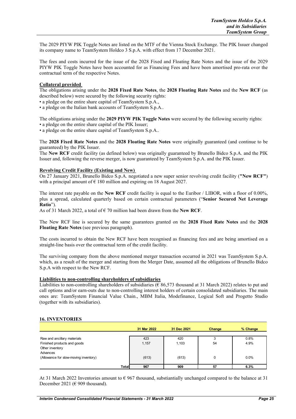The 2029 PIYW PIK Toggle Notes are listed on the MTF of the Vienna Stock Exchange. The PIK Issuer changed its company name to TeamSystem Holdco 3 S.p.A. with effect from 17 December 2021.

The fees and costs incurred for the issue of the 2028 Fixed and Floating Rate Notes and the issue of the 2029 PIYW PIK Toggle Notes have been accounted for as Financing Fees and have been amortised pro-rata over the contractual term of the respective Notes.

#### **Collateral provided**

The obligations arising under the **2028 Fixed Rate Notes**, the **2028 Floating Rate Notes** and the **New RCF** (as described below) were secured by the following security rights:

• a pledge on the entire share capital of TeamSystem S.p.A.,

• a pledge on the Italian bank accounts of TeamSystem S.p.A..

The obligations arising under the **2029 PIYW PIK Toggle Notes** were secured by the following security rights:

• a pledge on the entire share capital of the PIK Issuer;

• a pledge on the entire share capital of TeamSystem S.p.A..

The **2028 Fixed Rate Notes** and the **2028 Floating Rate Notes** were originally guaranteed (and continue to be guaranteed) by the PIK Issuer.

The **New RCF** credit facility (as defined below) was originally guaranteed by Brunello Bidco S.p.A. and the PIK Issuer and, following the reverse merger, is now guaranteed by TeamSystem S.p.A. and the PIK Issuer.

#### **Revolving Credit Facility (Existing and New)**

On 27 January 2021, Brunello Bidco S.p.A. negotiated a new super senior revolving credit facility (**"New RCF"**) with a principal amount of  $\epsilon$  180 million and expiring on 18 August 2027.

The interest rate payable on the **New RCF** credit facility is equal to the Euribor / LIBOR, with a floor of 0.00%, plus a spread, calculated quarterly based on certain contractual parameters ("**Senior Secured Net Leverage Ratio**").

As of 31 March 2022, a total of  $\epsilon$  70 million had been drawn from the **New RCF**.

The New RCF line is secured by the same guarantees granted on the **2028 Fixed Rate Notes** and the **2028 Floating Rate Notes** (see previous paragraph).

The costs incurred to obtain the New RCF have been recognised as financing fees and are being amortised on a straight-line basis over the contractual term of the credit facility.

The surviving company from the above mentioned merger transaction occurred in 2021 was TeamSystem S.p.A. which, as a result of the merger and starting from the Merger Date, assumed all the obligations of Brunello Bidco S.p.A with respect to the New RCF.

#### **Liabilities to non-controlling shareholders of subsidiaries**

Liabilities to non-controlling shareholders of subsidiaries ( $\epsilon$  86,573 thousand at 31 March 2022) relates to put and call options and/or earn-outs due to non-controlling interest holders of certain consolidated subsidiaries. The main ones are: TeamSystem Financial Value Chain., MBM Italia, Modefinance, Logical Soft and Progetto Studio (together with its subsidiaries).

#### **16. INVENTORIES**

|                                       |        | 31 Mar 2022 | 31 Dec 2021 | Change | % Change |
|---------------------------------------|--------|-------------|-------------|--------|----------|
| Raw and ancillary materials           |        | 423         | 420         |        | 0.8%     |
| Finished products and goods           |        | 1,157       | 1,103       | 54     | 4.9%     |
| Other inventory                       |        |             |             |        |          |
| Advances                              |        |             |             |        |          |
| (Allowance for slow-moving inventory) |        | (613)       | (613)       | 0      | 0.0%     |
|                                       |        |             |             |        |          |
|                                       | Totall | 967         | 909         | 57     | 6.3%     |

At 31 March 2022 Inventories amount to  $\epsilon$  967 thousand, substiantially unchanged compared to the balance at 31 December 2021 ( $\in$  909 thousand).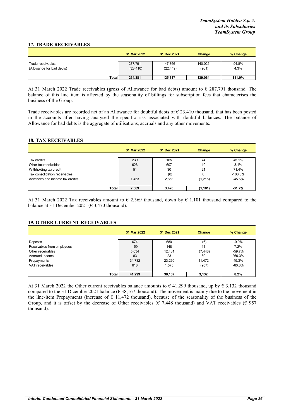#### **17. TRADE RECEIVABLES**

|                                                |       | 31 Mar 2022          | 31 Dec 2021          | Change           | % Change      |
|------------------------------------------------|-------|----------------------|----------------------|------------------|---------------|
| Trade receivables<br>(Allowance for bad debts) |       | 287,791<br>(23, 410) | 147,766<br>(22, 449) | 140,025<br>(961) | 94.8%<br>4.3% |
|                                                | Total | 264,381              | 125,317              | 139.064          | 111.0%        |

At 31 March 2022 Trade receivables (gross of Allowance for bad debts) amount to  $\epsilon$  287,791 thousand. The balance of this line item is affected by the seasonality of billings for subscription fees that characterises the business of the Group.

Trade receivables are recorded net of an Allowance for doubtful debts of  $\epsilon$  23,410 thousand, that has been posted in the accounts after having analysed the specific risk associated with doubtful balances. The balance of Allowance for bad debts is the aggregate of utilisations, accruals and any other movements.

#### **18. TAX RECEIVABLES**

|                                 |       | 31 Mar 2022 | 31 Dec 2021 | Change   | % Change   |
|---------------------------------|-------|-------------|-------------|----------|------------|
| Tax credits                     |       | 239         | 165         | 74       | 45.1%      |
| Other tax receivables           |       | 626         | 607         | 19       | 3.1%       |
| Withholding tax credit          |       | 51          | 30          | 21       | 71.4%      |
| Tax consolidation receivables   |       |             | (0)         | 0        | $-100.0\%$ |
| Advances and income tax credits |       | 1,453       | 2,668       | (1, 215) | $-45.6%$   |
|                                 | Total | 2,369       | 3,470       | (1, 101) | $-31.7%$   |

At 31 March 2022 Tax receivables amount to  $\epsilon$  2,369 thousand, down by  $\epsilon$  1,101 thousand compared to the balance at 31 December 2021 ( $\epsilon$  3,470 thousand).

#### **19. OTHER CURRENT RECEIVABLES**

|                            | 31 Mar 2022 | 31 Dec 2021 | <b>Change</b> | % Change |
|----------------------------|-------------|-------------|---------------|----------|
|                            |             |             |               |          |
| Deposits                   | 674         | 680         | (6)           | $-0.9%$  |
| Receivables from employees | 159         | 148         | 11            | 7.2%     |
| Other receivables          | 5,034       | 12.481      | (7, 448)      | $-59.7%$ |
| Accrued income             | 83          | 23          | 60            | 260.3%   |
| Prepayments                | 34,732      | 23,260      | 11.472        | 49.3%    |
| VAT receivables            | 618         | 1.575       | (957)         | $-60.8%$ |
|                            |             |             |               |          |
| <b>Total</b>               | 41,299      | 38,167      | 3,132         | 8.2%     |

At 31 March 2022 the Other current receivables balance amounts to  $\epsilon$  41,299 thousand, up by  $\epsilon$  3,132 thousand compared to the 31 Dicember 2021 balance ( $\epsilon$  38,167 thousand). The movement is mainly due to the movement in the line-item Prepayments (increase of  $\epsilon$  11,472 thousand), because of the seasonality of the business of the Group, and it is offset by the decrease of Other receivables ( $\epsilon$  7.448 thousand) and VAT receivables ( $\epsilon$  957 thousand).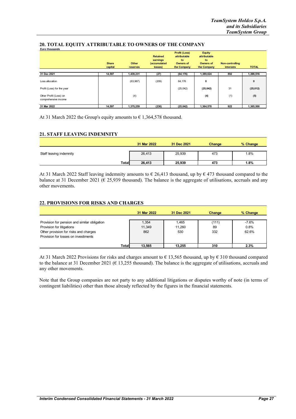|                                                | <b>Share</b><br>capital | Other<br>reserves | <b>Retained</b><br>earnings<br>(accumulated<br>losses) | <b>Profit (Loss)</b><br>attributable<br>to<br><b>Owners of</b><br>the Company | <b>Equity</b><br>attributable<br>to<br><b>Owners of</b><br>the Company | <b>Non-controlling</b><br><b>interests</b> | <b>TOTAL</b> |
|------------------------------------------------|-------------------------|-------------------|--------------------------------------------------------|-------------------------------------------------------------------------------|------------------------------------------------------------------------|--------------------------------------------|--------------|
| 31 Dec 2021                                    | 14,597                  | 1,439,231         | (27)                                                   | (64, 176)                                                                     | 1,389,624                                                              | 892                                        | 1,390,516    |
| Loss allocation                                |                         | (63,967)          | (209)                                                  | 64,176                                                                        | 0                                                                      |                                            | $\mathbf 0$  |
| Profit (Loss) for the year                     |                         |                   |                                                        | (25,042)                                                                      | (25, 042)                                                              | 31                                         | (25, 012)    |
| Other Profit (Loss) on<br>comprehensive income |                         | (4)               |                                                        |                                                                               | (4)                                                                    | (1)                                        | (5)          |
| 31 Mar 2022                                    | 14,597                  | 1,375,259         | (236)                                                  | (25, 042)                                                                     | 1,364,578                                                              | 922                                        | 1,365,500    |

#### **20. TOTAL EQUITY ATTRIBUTABLE TO OWNERS OF THE COMPANY**

At 31 March 2022 the Group's equity amounts to  $\epsilon$  1,364,578 thousand.

#### **21. STAFF LEAVING INDEMNITY**

|                         |              | 31 Mar 2022 | 31 Dec 2021 | Change | % Change |  |
|-------------------------|--------------|-------------|-------------|--------|----------|--|
| Staff leaving indemnity |              | 26,413      | 25,939      | 473    | 1.8%     |  |
|                         | <b>Total</b> | 26,413      | 25,939      | 473    | 1.8%     |  |

At 31 March 2022 Staff leaving indemnity amounts to  $\epsilon$  26,413 thousand, up by  $\epsilon$  473 thousand compared to the balance at 31 December 2021 ( $\epsilon$  25,939 thousand). The balance is the aggregate of utilisations, accruals and any other movements.

#### **22. PROVISIONS FOR RISKS AND CHARGES**

|                                              |              | 31 Mar 2022 | 31 Dec 2021 | Change | % Change |
|----------------------------------------------|--------------|-------------|-------------|--------|----------|
|                                              |              |             |             |        |          |
| Provision for pension and similar obligation |              | 1,354       | 1,465       | (111)  | $-7.6%$  |
| Provision for litigations                    |              | 11,349      | 11.260      | 89     | 0.8%     |
| Other provision for risks and charges        |              | 862         | 530         | 332    | 62.6%    |
| Provision for losses on investiments         |              |             |             |        |          |
|                                              |              |             |             |        |          |
|                                              | <b>Total</b> | 13.565      | 13.255      | 310    | 2.3%     |

At 31 March 2022 Provisions for risks and charges amount to € 13,565 thousand, up by € 310 thousand compared to the balance at 31 December 2021 ( $\epsilon$  13,255 thousand). The balance is the aggregate of utilisations, accruals and any other movements.

Note that the Group companies are not party to any additional litigations or disputes worthy of note (in terms of contingent liabilities) other than those already reflected by the figures in the financial statements.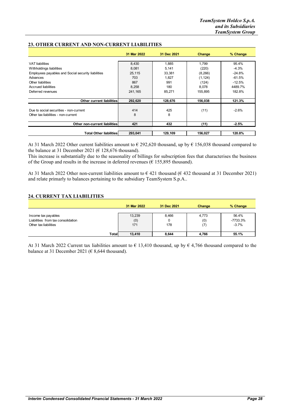|                                                    | 31 Mar 2022 | 31 Dec 2021 | Change   | % Change |
|----------------------------------------------------|-------------|-------------|----------|----------|
|                                                    |             |             |          |          |
| <b>VAT</b> liabilities                             | 8,430       | 1,885       | 1.799    | 95.4%    |
| Withholdings liabilities                           | 8,081       | 5,141       | (220)    | $-4.3%$  |
| Employees payables and Social security liabilities | 25,115      | 33,381      | (8,266)  | $-24.8%$ |
| Advances                                           | 703         | 1.827       | (1, 124) | $-61.5%$ |
| Other liabilities                                  | 867         | 991         | (124)    | $-12.5%$ |
| Accrued liabilities                                | 8.258       | 180         | 8.078    | 4489.7%  |
| Deferred revenues                                  | 241.165     | 85.271      | 155.895  | 182.8%   |
| <b>Other current liabilities</b>                   | 292,620     | 128,676     | 156,038  | 121.3%   |
| Due to social securities - non-current             | 414         | 425         | (11)     | $-2.6%$  |
| Other tax liabilities - non-current                | 8           | 8           |          |          |
|                                                    |             |             |          |          |
| Other non-current liabilities                      | 421         | 432         | (11)     | $-2.5%$  |
|                                                    |             |             |          |          |
| <b>Total Other liabilities</b>                     | 293,041     | 129,109     | 156,027  | 120.8%   |

#### **23. OTHER CURRENT AND NON-CURRENT LIABILITIES**

At 31 March 2022 Other current liabilities amount to € 292,620 thousand, up by € 156,038 thousand compared to the balance at 31 December 2021 ( $\epsilon$  128,676 thousand).

This increase is substantially due to the seasonality of billings for subscription fees that characterises the business of the Group and results in the increase in deferred revenues ( $\epsilon$  155,895 thousand).

At 31 March 2022 Other non-current liabilities amount to  $\epsilon$  421 thousand ( $\epsilon$  432 thousand at 31 December 2021) and relate primarly to balances pertaining to the subsidiary TeamSystem S.p.A..

#### **24. CURRENT TAX LIABILITIES**

|                                    | 31 Mar 2022      | 31 Dec 2021 | Change | % Change   |
|------------------------------------|------------------|-------------|--------|------------|
|                                    |                  |             |        |            |
| Income tax payables                | 13,239           | 8,466       | 4,773  | 56.4%      |
| Liabilities from tax consolidation | (0)              |             | (0)    | $-7733.3%$ |
| Other tax liabilities              | 171              | 178         | (7)    | $-3.7%$    |
|                                    |                  |             |        |            |
|                                    | Totall<br>13,410 | 8,644       | 4.766  | 55.1%      |

At 31 March 2022 Current tax liabilities amount to  $\epsilon$  13,410 thousand, up by  $\epsilon$  4,766 thousand compared to the balance at 31 December 2021 ( $\in$  8,644 thousand).